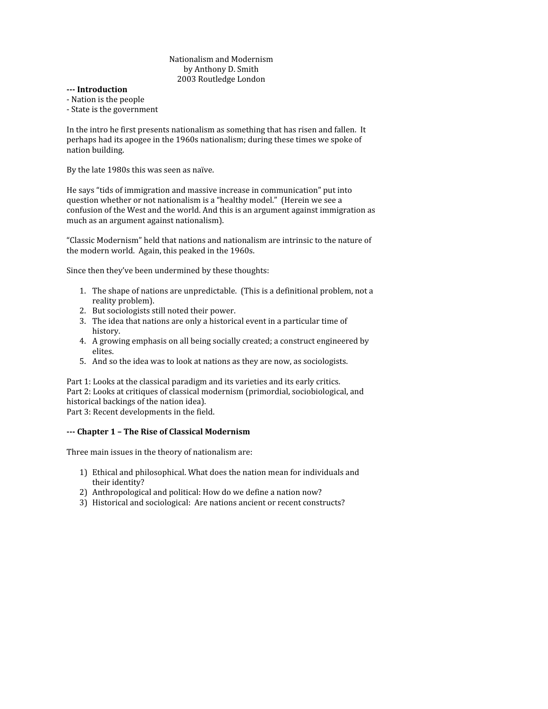## Nationalism
and
Modernism by
Anthony
D.
Smith 2003
Routledge
London

- **Introduction**
- ‐
Nation
is
the
people
- ‐
State
is
the
government

In the intro he first presents nationalism as something that has risen and fallen. It perhaps
had
its
apogee
in
the
1960s
nationalism;
during
these
times
we
spoke
of nation
building.

By
the
late
1980s
this
was
seen
as
naïve.

He says "tids of immigration and massive increase in communication" put into question
whether
or
not
nationalism
is
a
"healthy
model."

(Herein
we
see
a confusion
of
the
West
and
the
world.
And
this
is
an
argument
against
immigration
as much
as
an
argument
against
nationalism).

"Classic
Modernism"
held
that
nations
and
nationalism
are
intrinsic
to
the
nature
of the
modern
world.

Again,
this
peaked
in
the
1960s.

Since
then
they've
been
undermined
by
these
thoughts:

- 1. The
shape
of
nations
are
unpredictable.

(This
is
a
definitional
problem,
not
a reality
problem).
- 2. But
sociologists
still
noted
their
power.
- 3. The
idea
that
nations
are
only
a
historical
event
in
a
particular
time
of history.
- 4. A
growing
emphasis
on
all
being
socially
created;
a
construct
engineered
by elites.
- 5. And
so
the
idea
was
to
look
at
nations
as
they
are
now,
as
sociologists.

Part 1: Looks at the classical paradigm and its varieties and its early critics. Part 2: Looks at critiques of classical modernism (primordial, sociobiological, and historical
backings
of
the
nation
idea). Part
3:
Recent
developments
in
the
field.

# **Chapter
1
–
The
Rise
of
Classical
Modernism**

Three
main
issues
in
the
theory
of
nationalism
are:

- 1) Ethical
and
philosophical.
What
does
the
nation
mean
for
individuals
and their
identity?
- 2) Anthropological and political: How do we define a nation now?
- 3) Historical
and
sociological:

Are
nations
ancient
or
recent
constructs?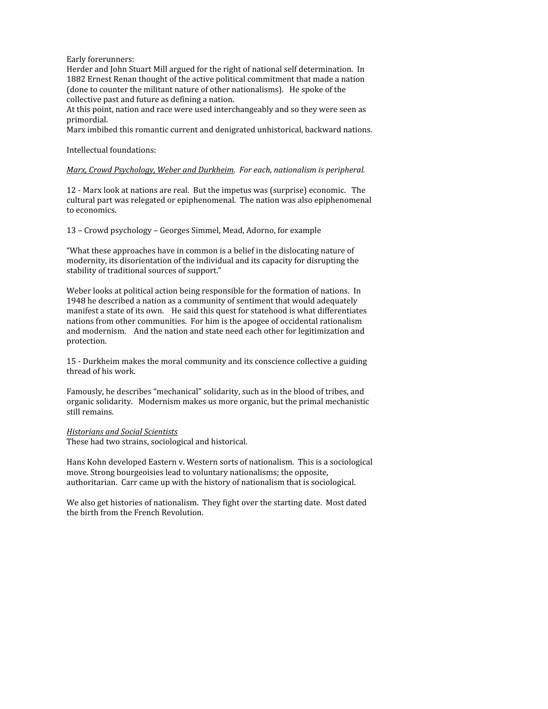Early
forerunners:

Herder and John Stuart Mill argued for the right of national self determination. In 1882 Ernest Renan thought of the active political commitment that made a nation (done
to
counter
the
militant
nature
of
other
nationalisms).

He
spoke
of
the collective
past
and
future
as
defining
a
nation.

At
this
point,
nation
and
race
were
used
interchangeably
and
so
they
were
seen
as primordial.

Marx
imbibed
this
romantic
current
and
denigrated
unhistorical,
backward
nations.

Intellectual
foundations:

#### Marx, Crowd Psychology, Weber and Durkheim. For each, nationalism is peripheral.

12
‐
Marx
look
at
nations
are
real.

But
the
impetus
was
(surprise)
economic.

The cultural
part
was
relegated
or
epiphenomenal.

The
nation
was
also
epiphenomenal to
economics.

13
–
Crowd
psychology
–
Georges
Simmel,
Mead,
Adorno,
for
example

"What these approaches have in common is a belief in the dislocating nature of modernity,
its
disorientation
of
the
individual
and
its
capacity
for
disrupting
the stability
of
traditional
sources
of
support."

Weber looks at political action being responsible for the formation of nations. In 1948 he described a nation as a community of sentiment that would adequately manifest a state of its own. He said this quest for statehood is what differentiates nations
from
other
communities.

For
him
is
the
apogee
of
occidental
rationalism and
modernism.

And
the
nation
and
state
need
each
other
for
legitimization
and protection.

15
‐
Durkheim
makes
the
moral
community
and
its
conscience
collective
a
guiding thread
of
his
work.

Famously, he describes "mechanical" solidarity, such as in the blood of tribes, and organic
solidarity.

Modernism
makes
us
more
organic,
but
the
primal
mechanistic still
remains.

#### *Historians
and
Social
Scientists*

These
had
two
strains,
sociological
and
historical.

Hans
Kohn
developed
Eastern
v.
Western
sorts
of
nationalism.

This
is
a
sociological move.
Strong
bourgeoisies
lead
to
voluntary
nationalisms;
the
opposite, authoritarian.

Carr
came
up
with
the
history
of
nationalism
that
is
sociological.

We also get histories of nationalism. They fight over the starting date. Most dated the
birth
from
the
French
Revolution.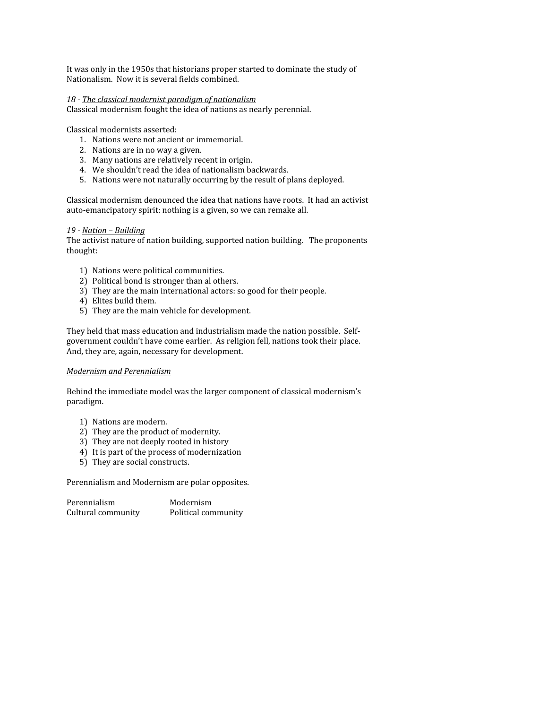It was only in the 1950s that historians proper started to dominate the study of Nationalism.

Now
it
is
several
fields
combined.

## *18 The
classical
modernist
paradigm
of
nationalism*

Classical
modernism
fought
the
idea
of
nations
as
nearly
perennial.

Classical
modernists
asserted:

- 1. Nations
were
not
ancient
or
immemorial.
- 2. Nations
are
in
no
way
a
given.
- 3. Many
nations
are
relatively
recent
in
origin.
- 4. We
shouldn't
read
the
idea
of
nationalism
backwards.
- 5. Nations
were
not
naturally
occurring
by
the
result
of
plans
deployed.

Classical
modernism
denounced
the
idea
that
nations
have
roots.

It
had
an
activist auto-emancipatory spirit: nothing is a given, so we can remake all.

### *19 Nation
–
Building*

The
activist
nature
of
nation
building,
supported
nation
building.

The
proponents thought:

- 1) Nations
were
political
communities.
- 2) Political
bond
is
stronger
than
al
others.
- 3) They
are
the
main
international
actors:
so
good
for
their
people.
- 4) Elites
build
them.
- 5) They
are
the
main
vehicle
for
development.

They held that mass education and industrialism made the nation possible. Selfgovernment
couldn't
have
come
earlier.

As
religion
fell,
nations
took
their
place. And,
they
are,
again,
necessary
for
development.

### *Modernism
and
Perennialism*

Behind
the
immediate
model
was
the
larger
component
of
classical
modernism's paradigm.

- 1) Nations
are
modern.
- 2) They
are
the
product
of
modernity.
- 3) They
are
not
deeply
rooted
in
history
- 4) It
is
part
of
the
process
of
modernization
- 5) They
are
social
constructs.

Perennialism
and
Modernism
are
polar
opposites.

Perennialism Modernism Cultural
community Political
community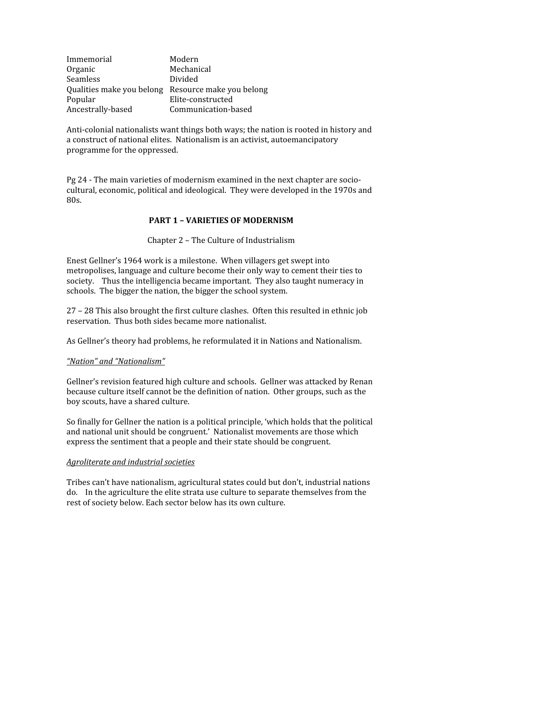| Immemorial        | Modern                                             |
|-------------------|----------------------------------------------------|
| Organic           | Mechanical                                         |
| <b>Seamless</b>   | Divided                                            |
|                   | Qualities make you belong Resource make you belong |
| Popular           | Elite-constructed                                  |
| Ancestrally-based | Communication-based                                |

Anti-colonial nationalists want things both ways; the nation is rooted in history and a
construct
of
national
elites.

Nationalism
is
an
activist,
autoemancipatory programme
for
the
oppressed.

Pg 24 - The main varieties of modernism examined in the next chapter are sociocultural,
economic,
political
and
ideological.

They
were
developed
in
the
1970s
and 80s.

### **PART
1
–
VARIETIES
OF
MODERNISM**

Chapter
2
–
The
Culture
of
Industrialism

Enest
Gellner's
1964
work
is
a
milestone.

When
villagers
get
swept
into metropolises, language and culture become their only way to cement their ties to society. Thus the intelligencia became important. They also taught numeracy in schools.

The
bigger
the
nation,
the
bigger
the
school
system.

27
–
28
This
also
brought
the
first
culture
clashes.

Often
this
resulted
in
ethnic
job reservation.

Thus
both
sides
became
more
nationalist.

As
Gellner's
theory
had
problems,
he
reformulated
it
in
Nations
and
Nationalism.

#### "Nation" and "Nationalism"

Gellner's revision featured high culture and schools. Gellner was attacked by Renan because culture itself cannot be the definition of nation. Other groups, such as the boy
scouts,
have
a
shared
culture.

So finally for Gellner the nation is a political principle, 'which holds that the political and
national
unit
should
be
congruent.'

Nationalist
movements
are
those
which express
the
sentiment
that
a
people
and
their
state
should
be
congruent.

#### *Agroliterate
and
industrial
societies*

Tribes
can't
have
nationalism,
agricultural
states
could
but
don't,
industrial
nations do. In the agriculture the elite strata use culture to separate themselves from the rest
of
society
below.
Each
sector
below
has
its
own
culture.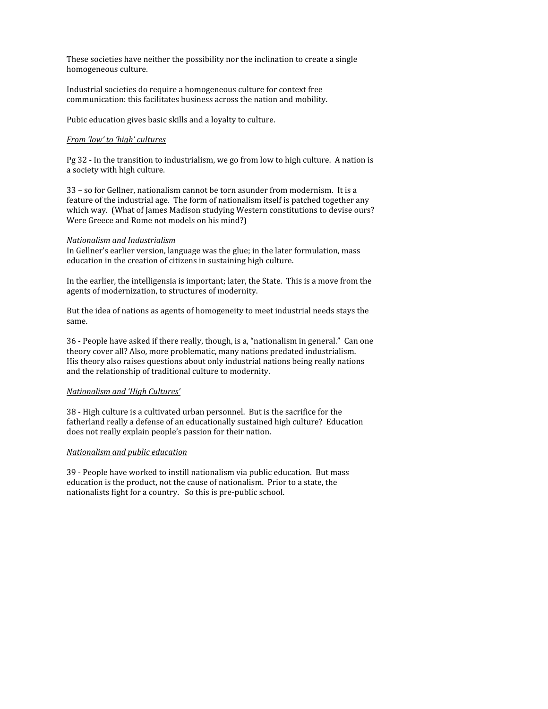These societies have neither the possibility nor the inclination to create a single homogeneous
culture.

Industrial
societies
do
require
a
homogeneous
culture
for
context
free communication:
this
facilitates
business
across
the
nation
and
mobility.

Pubic
education
gives
basic
skills
and
a
loyalty
to
culture.

### *From
'low'
to
'high'
cultures*

Pg 32 - In the transition to industrialism, we go from low to high culture. A nation is a
society
with
high
culture.

33
–
so
for
Gellner,
nationalism
cannot
be
torn
asunder
from
modernism.

It
is
a feature of the industrial age. The form of nationalism itself is patched together any which way. (What of James Madison studying Western constitutions to devise ours?) Were Greece and Rome not models on his mind?)

### *Nationalism
and
Industrialism*

In Gellner's earlier version, language was the glue; in the later formulation, mass education
in
the
creation
of
citizens
in
sustaining
high
culture.

In the earlier, the intelligensia is important; later, the State. This is a move from the agents
of
modernization,
to
structures
of
modernity.

But the idea of nations as agents of homogeneity to meet industrial needs stays the same.

36
‐
People
have
asked
if
there
really,
though,
is
a,
"nationalism
in
general."

Can
one theory
cover
all?
Also,
more
problematic,
many
nations
predated
industrialism. His
theory
also
raises
questions
about
only
industrial
nations
being
really
nations and
the
relationship
of
traditional
culture
to
modernity.

### *Nationalism
and
'High
Cultures'*

38
‐
High
culture
is
a
cultivated
urban
personnel.

But
is
the
sacrifice
for
the fatherland really a defense of an educationally sustained high culture? Education does
not
really
explain
people's
passion
for
their
nation.

### *Nationalism
and
public
education*

39
‐
People
have
worked
to
instill
nationalism
via
public
education.

But
mass education is the product, not the cause of nationalism. Prior to a state, the nationalists
fight
for
a
country.

So
this
is
pre‐public
school.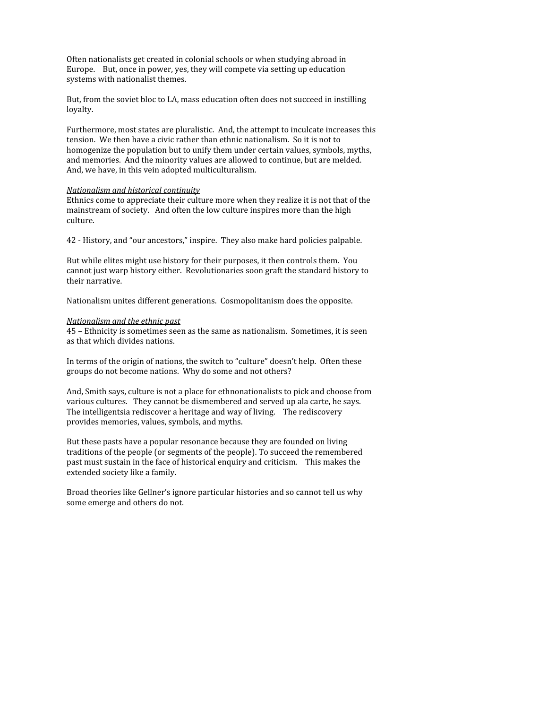Often
nationalists
get
created
in
colonial
schools
or
when
studying
abroad
in Europe.

But,
once
in
power,
yes,
they
will
compete
via
setting
up
education systems
with
nationalist
themes.

But, from the soviet bloc to LA, mass education often does not succeed in instilling loyalty.

Furthermore, most states are pluralistic. And, the attempt to inculcate increases this tension.

We
then
have
a
civic
rather
than
ethnic
nationalism.

So
it
is
not
to homogenize the population but to unify them under certain values, symbols, myths, and
memories.

And
the
minority
values
are
allowed
to
continue,
but
are
melded. And,
we
have,
in
this
vein
adopted
multiculturalism.

### *Nationalism
and
historical
continuity*

Ethnics come to appreciate their culture more when they realize it is not that of the mainstream
of
society.

And
often
the
low
culture
inspires
more
than
the
high culture.

42
‐
History,
and
"our
ancestors,"
inspire.

They
also
make
hard
policies
palpable.

But while elites might use history for their purposes, it then controls them. You cannot
just
warp
history
either.

Revolutionaries
soon
graft
the
standard
history
to their
narrative.

Nationalism
unites
different
generations.

Cosmopolitanism
does
the
opposite.

#### *Nationalism
and
the
ethnic
past*

45
–
Ethnicity
is
sometimes
seen
as
the
same
as
nationalism.

Sometimes,
it
is
seen as
that
which
divides
nations.

In terms of the origin of nations, the switch to "culture" doesn't help. Often these groups
do
not
become
nations.

Why
do
some
and
not
others?

And, Smith says, culture is not a place for ethnonationalists to pick and choose from various
cultures.

They
cannot
be
dismembered
and
served
up
ala
carte,
he
says. The intelligentsia rediscover a heritage and way of living. The rediscovery provides
memories,
values,
symbols,
and
myths.

But
these
pasts
have
a
popular
resonance
because
they
are
founded
on
living traditions
of
the
people
(or
segments
of
the
people).
To
succeed
the
remembered past
must
sustain
in
the
face
of
historical
enquiry
and
criticism.

This
makes
the extended
society
like
a
family.

Broad
theories
like
Gellner's
ignore
particular
histories
and
so
cannot
tell
us
why some
emerge
and
others
do
not.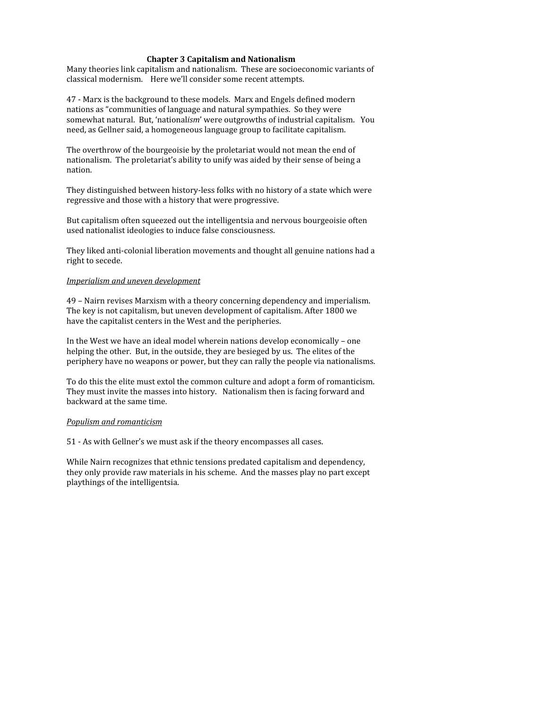### **Chapter
3
Capitalism
and
Nationalism**

Many theories link capitalism and nationalism. These are socioeconomic variants of classical
modernism.

Here
we'll
consider
some
recent
attempts.

47
‐
Marx
is
the
background
to
these
models.

Marx
and
Engels
defined
modern nations
as
"communities
of
language
and
natural
sympathies.

So
they
were somewhat natural. But, 'nationalism' were outgrowths of industrial capitalism. You need,
as
Gellner
said,
a
homogeneous
language
group
to
facilitate
capitalism.

The overthrow of the bourgeoisie by the proletariat would not mean the end of nationalism.

The
proletariat's
ability
to
unify
was
aided
by
their
sense
of
being
a nation.

They distinguished between history-less folks with no history of a state which were regressive
and
those
with
a
history
that
were
progressive.

But capitalism often squeezed out the intelligentsia and nervous bourgeoisie often used
nationalist
ideologies
to
induce
false
consciousness.

They liked anti-colonial liberation movements and thought all genuine nations had a right
to
secede.

### *Imperialism
and
uneven
development*

49
–
Nairn
revises
Marxism
with
a
theory
concerning
dependency
and
imperialism. The
key
is
not
capitalism,
but
uneven
development
of
capitalism.
After
1800
we have
the
capitalist
centers
in
the
West
and
the
peripheries.

In
the
West
we
have
an
ideal
model
wherein
nations
develop
economically
–
one helping the other. But, in the outside, they are besieged by us. The elites of the periphery
have
no
weapons
or
power,
but
they
can
rally
the
people
via
nationalisms.

To do this the elite must extol the common culture and adopt a form of romanticism. They
must
invite
the
masses
into
history.

Nationalism
then
is
facing
forward
and backward
at
the
same
time.

### *Populism
and
romanticism*

51
‐
As
with
Gellner's
we
must
ask
if
the
theory
encompasses
all
cases.

While
Nairn
recognizes
that
ethnic
tensions
predated
capitalism
and
dependency, they only provide raw materials in his scheme. And the masses play no part except playthings
of
the
intelligentsia.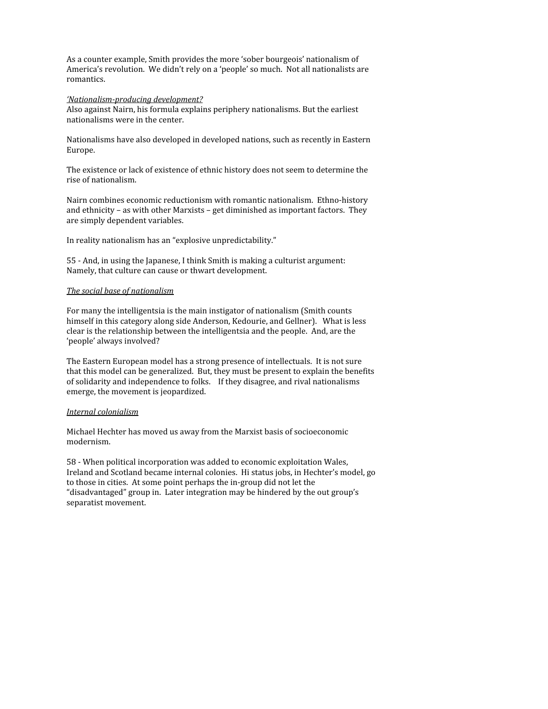As
a
counter
example,
Smith
provides
the
more
'sober
bourgeois'
nationalism
of America's
revolution.

We
didn't
rely
on
a
'people'
so
much.

Not
all
nationalists
are romantics.

#### *'Nationalism-producing development?*

Also
against
Nairn,
his
formula
explains
periphery
nationalisms.
But
the
earliest nationalisms
were
in
the
center.

Nationalisms
have
also
developed
in
developed
nations,
such
as
recently
in
Eastern Europe.

The
existence
or
lack
of
existence
of
ethnic
history
does
not
seem
to
determine
the rise
of
nationalism.

Nairn
combines
economic
reductionism
with
romantic
nationalism.

Ethno‐history and
ethnicity
–
as
with
other
Marxists
–
get
diminished
as
important
factors.

They are
simply
dependent
variables.

In
reality
nationalism
has
an
"explosive
unpredictability."

55
‐
And,
in
using
the
Japanese,
I
think
Smith
is
making
a
culturist
argument: Namely,
that
culture
can
cause
or
thwart
development.

## *The
social
base
of
nationalism*

For many the intelligentsia is the main instigator of nationalism (Smith counts himself in this category along side Anderson, Kedourie, and Gellner). What is less clear
is
the
relationship
between
the
intelligentsia
and
the
people.

And,
are
the 'people'
always
involved?

The
Eastern
European
model
has
a
strong
presence
of
intellectuals.

It
is
not
sure that
this
model
can
be
generalized.

But,
they
must
be
present
to
explain
the
benefits of
solidarity
and
independence
to
folks.

If
they
disagree,
and
rival
nationalisms emerge,
the
movement
is
jeopardized.

#### *Internal
colonialism*

Michael
Hechter
has
moved
us
away
from
the
Marxist
basis
of
socioeconomic modernism.

58
‐
When
political
incorporation
was
added
to
economic
exploitation
Wales, Ireland
and
Scotland
became
internal
colonies.

Hi
status
jobs,
in
Hechter's
model,
go to those in cities. At some point perhaps the in-group did not let the "disadvantaged"
group
in.

Later
integration
may
be
hindered
by
the
out
group's separatist
movement.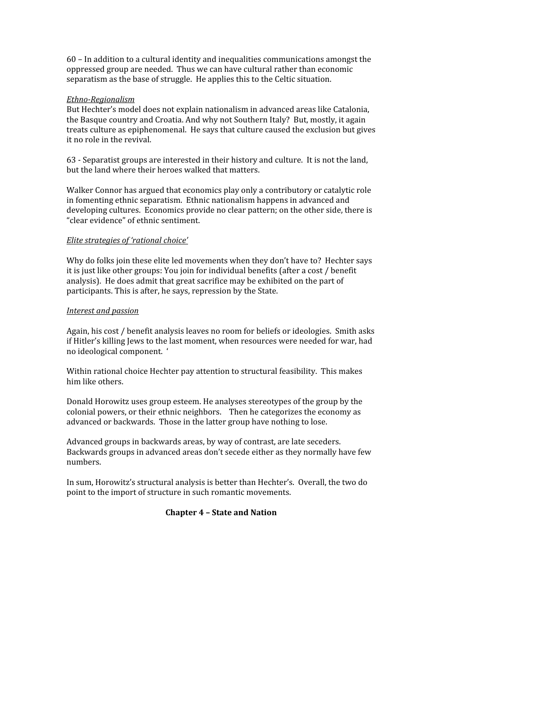60
–
In
addition
to
a
cultural
identity
and
inequalities
communications
amongst
the oppressed
group
are
needed.

Thus
we
can
have
cultural
rather
than
economic separatism as the base of struggle. He applies this to the Celtic situation.

## $Ethno$ -Regionalism

But Hechter's model does not explain nationalism in advanced areas like Catalonia, the Basque country and Croatia. And why not Southern Italy? But, mostly, it again treats
culture
as
epiphenomenal.

He
says
that
culture
caused
the
exclusion
but
gives it
no
role
in
the
revival.

63
‐
Separatist
groups
are
interested
in
their
history
and
culture.

It
is
not
the
land, but
the
land
where
their
heroes
walked
that
matters.

Walker Connor has argued that economics play only a contributory or catalytic role in
fomenting
ethnic
separatism.

Ethnic
nationalism
happens
in
advanced
and developing cultures. Economics provide no clear pattern; on the other side, there is "clear
evidence"
of
ethnic
sentiment.

## *Elite
strategies
of
'rational
choice'*

Why do folks join these elite led movements when they don't have to? Hechter says it is just like other groups: You join for individual benefits (after a cost / benefit analysis).

He
does
admit
that
great
sacrifice
may
be
exhibited
on
the
part
of participants.
This
is
after,
he
says,
repression
by
the
State.

## *Interest
and
passion*

Again, his cost / benefit analysis leaves no room for beliefs or ideologies. Smith asks if
Hitler's
killing
Jews
to
the
last
moment,
when
resources
were
needed
for
war,
had no
ideological
component.

'

Within
rational
choice
Hechter
pay
attention
to
structural
feasibility.

This
makes him
like
others.

Donald Horowitz uses group esteem. He analyses stereotypes of the group by the colonial
powers,
or
their
ethnic
neighbors.

Then
he
categorizes
the
economy
as advanced
or
backwards.

Those
in
the
latter
group
have
nothing
to
lose.

Advanced
groups
in
backwards
areas,
by
way
of
contrast,
are
late
seceders. Backwards
groups
in
advanced
areas
don't
secede
either
as
they
normally
have
few numbers.

In
sum,
Horowitz's
structural
analysis
is
better
than
Hechter's.

Overall,
the
two
do point to the import of structure in such romantic movements.

# **Chapter
4
–
State
and
Nation**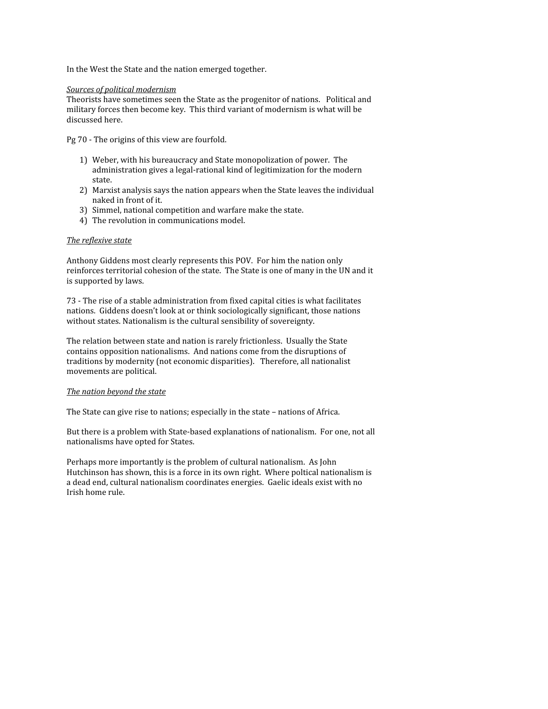In
the
West
the
State
and
the
nation
emerged
together.

### *Sources
of
political
modernism*

Theorists
have
sometimes
seen
the
State
as
the
progenitor
of
nations.

Political
and military
forces
then
become
key.

This
third
variant
of
modernism
is
what
will
be discussed
here.

Pg
70
‐
The
origins
of
this
view
are
fourfold.

- 1) Weber,
with
his
bureaucracy
and
State
monopolization
of
power.

The administration gives a legal-rational kind of legitimization for the modern state.
- 2) Marxist
analysis
says
the
nation
appears
when
the
State
leaves
the
individual naked
in
front
of
it.
- 3) Simmel,
national
competition
and
warfare
make
the
state.
- 4) The
revolution
in
communications
model.

## *The
reflexive
state*

Anthony
Giddens
most
clearly
represents
this
POV.

For
him
the
nation
only reinforces territorial cohesion of the state. The State is one of many in the UN and it is
supported
by
laws.

73
‐
The
rise
of
a
stable
administration
from
fixed
capital
cities
is
what
facilitates nations.

Giddens
doesn't
look
at
or
think
sociologically
significant,
those
nations without states. Nationalism is the cultural sensibility of sovereignty.

The
relation
between
state
and
nation
is
rarely
frictionless.

Usually
the
State contains
opposition
nationalisms.

And
nations
come
from
the
disruptions
of traditions
by
modernity
(not
economic
disparities).

Therefore,
all
nationalist movements
are
political.

### *The
nation
beyond
the
state*

The State can give rise to nations; especially in the state - nations of Africa.

But there is a problem with State-based explanations of nationalism. For one, not all nationalisms
have
opted
for
States.

Perhaps
more
importantly
is
the
problem
of
cultural
nationalism.

As
John Hutchinson has shown, this is a force in its own right. Where poltical nationalism is a dead end, cultural nationalism coordinates energies. Gaelic ideals exist with no Irish
home
rule.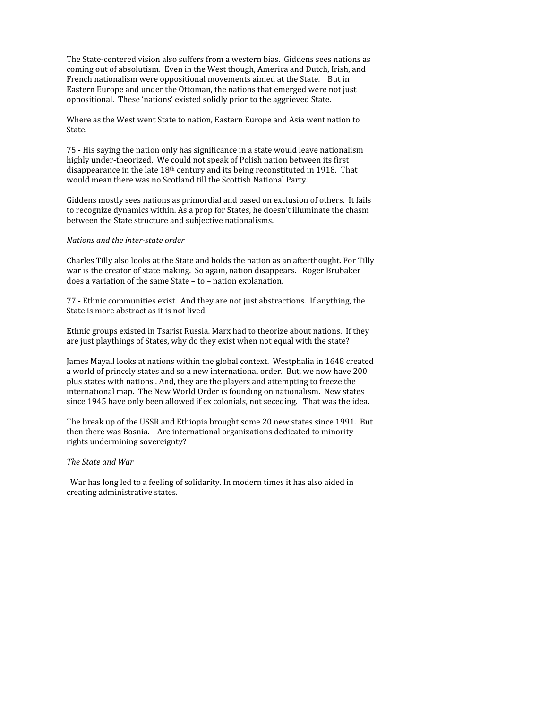The State-centered vision also suffers from a western bias. Giddens sees nations as coming
out
of
absolutism.

Even
in
the
West
though,
America
and
Dutch,
Irish,
and French nationalism were oppositional movements aimed at the State. But in Eastern Europe and under the Ottoman, the nations that emerged were not just oppositional.

These
'nations'
existed
solidly
prior
to
the
aggrieved
State.

Where as the West went State to nation, Eastern Europe and Asia went nation to State.

75 - His saying the nation only has significance in a state would leave nationalism highly under-theorized. We could not speak of Polish nation between its first disappearance in the late  $18<sup>th</sup>$  century and its being reconstituted in 1918. That would mean there was no Scotland till the Scottish National Party.

Giddens mostly sees nations as primordial and based on exclusion of others. It fails to recognize dynamics within. As a prop for States, he doesn't illuminate the chasm between
the
State
structure
and
subjective
nationalisms.

#### *Nations
and
the
interstate
order*

Charles
Tilly
also
looks
at
the
State
and
holds
the
nation
as
an
afterthought.
For
Tilly war is the creator of state making. So again, nation disappears. Roger Brubaker does
a
variation
of
the
same
State
–
to
–
nation
explanation.

77
‐
Ethnic
communities
exist.

And
they
are
not
just
abstractions.

If
anything,
the State
is
more
abstract
as
it
is
not
lived.

Ethnic groups existed in Tsarist Russia. Marx had to theorize about nations. If they are
just
playthings
of
States,
why
do
they
exist
when
not
equal
with
the
state?

James
Mayall
looks
at
nations
within
the
global
context.

Westphalia
in
1648
created a
world
of
princely
states
and
so
a
new
international
order.

But,
we
now
have
200 plus
states
with
nations
.
And,
they
are
the
players
and
attempting
to
freeze
the international
map.

The
New
World
Order
is
founding
on
nationalism.

New
states since
1945
have
only
been
allowed
if
ex
colonials,
not
seceding.

That
was
the
idea.

The break up of the USSR and Ethiopia brought some 20 new states since 1991. But then
there
was
Bosnia.

Are
international
organizations
dedicated
to
minority rights
undermining
sovereignty?

### *The
State
and
War*

War has long led to a feeling of solidarity. In modern times it has also aided in creating
administrative
states.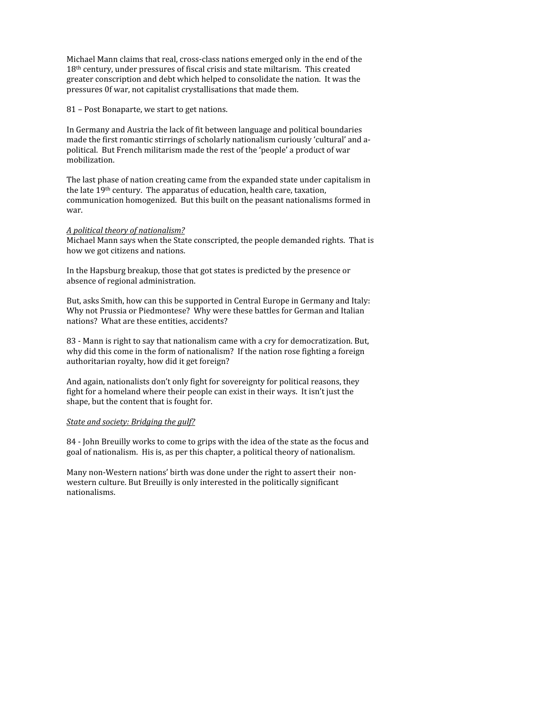Michael Mann claims that real, cross-class nations emerged only in the end of the 18<sup>th</sup> century, under pressures of fiscal crisis and state miltarism. This created greater
conscription
and
debt
which
helped
to
consolidate
the
nation.

It
was
the pressures 0f war, not capitalist crystallisations that made them.

81
–
Post
Bonaparte,
we
start
to
get
nations.

In
Germany
and
Austria
the
lack
of
fit
between
language
and
political
boundaries made the first romantic stirrings of scholarly nationalism curiously 'cultural' and apolitical. But French militarism made the rest of the 'people' a product of war mobilization.

The
last
phase
of
nation
creating
came
from
the
expanded
state
under
capitalism
in the
late
19th
century.

The
apparatus
of
education,
health
care,
taxation, communication
homogenized.

But
this
built
on
the
peasant
nationalisms
formed
in war.

### *A
political
theory
of
nationalism?*

Michael
Mann
says
when
the
State
conscripted,
the
people
demanded
rights.

That
is how
we
got
citizens
and
nations.

In
the
Hapsburg
breakup,
those
that
got
states
is
predicted
by
the
presence
or absence
of
regional
administration.

But, asks Smith, how can this be supported in Central Europe in Germany and Italy: Why not Prussia or Piedmontese? Why were these battles for German and Italian nations?

What
are
these
entities,
accidents?

83
‐
Mann
is
right
to
say
that
nationalism
came
with
a
cry
for
democratization.
But, why did this come in the form of nationalism? If the nation rose fighting a foreign authoritarian
royalty,
how
did
it
get
foreign?

And again, nationalists don't only fight for sovereignty for political reasons, they fight for a homeland where their people can exist in their ways. It isn't just the shape,
but
the
content
that
is
fought
for.

#### *State
and
society:
Bridging
the
gulf?*

84
‐
John
Breuilly
works
to
come
to
grips
with
the
idea
of
the
state
as
the
focus
and goal
of
nationalism.

His
is,
as
per
this
chapter,
a
political
theory
of
nationalism.

Many non-Western nations' birth was done under the right to assert their nonwestern culture. But Breuilly is only interested in the politically significant nationalisms.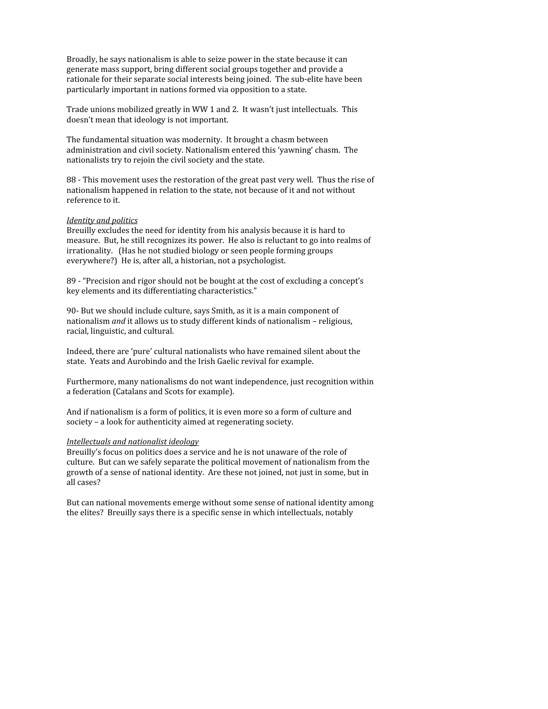Broadly, he says nationalism is able to seize power in the state because it can generate
mass
support,
bring
different
social
groups
together
and
provide
a rationale for their separate social interests being joined. The sub-elite have been particularly
important
in
nations
formed
via
opposition
to
a
state.

Trade unions mobilized greatly in WW 1 and 2. It wasn't just intellectuals. This doesn't
mean
that
ideology
is
not
important.

The
fundamental
situation
was
modernity.

It
brought
a
chasm
between administration
and
civil
society.
Nationalism
entered
this
'yawning'
chasm.

The nationalists
try
to
rejoin
the
civil
society
and
the
state.

88
‐
This
movement
uses
the
restoration
of
the
great
past
very
well.

Thus
the
rise
of nationalism
happened
in
relation
to
the
state,
not
because
of
it
and
not
without reference
to
it.

### *Identity
and
politics*

Breuilly
excludes
the
need
for
identity
from
his
analysis
because
it
is
hard
to measure. But, he still recognizes its power. He also is reluctant to go into realms of irrationality.

(Has
he
not
studied
biology
or
seen
people
forming
groups everywhere?)

He
is,
after
all,
a
historian,
not
a
psychologist.

89
‐
"Precision
and
rigor
should
not
be
bought
at
the
cost
of
excluding
a
concept's key
elements
and
its
differentiating
characteristics."

90‐
But
we
should
include
culture,
says
Smith,
as
it
is
a
main
component
of nationalism *and* it allows us to study different kinds of nationalism - religious, racial,
linguistic,
and
cultural.

Indeed,
there
are
'pure'
cultural
nationalists
who
have
remained
silent
about
the state.

Yeats
and
Aurobindo
and
the
Irish
Gaelic
revival
for
example.

Furthermore,
many
nationalisms
do
not
want
independence,
just
recognition
within a
federation
(Catalans
and
Scots
for
example).

And
if
nationalism
is
a
form
of
politics,
it
is
even
more
so
a
form
of
culture
and society
–
a
look
for
authenticity
aimed
at
regenerating
society.

#### *Intellectuals
and
nationalist
ideology*

Breuilly's focus on politics does a service and he is not unaware of the role of culture.

But
can
we
safely
separate
the
political
movement
of
nationalism
from
the growth of a sense of national identity. Are these not joined, not just in some, but in all
cases?

But
can
national
movements
emerge
without
some
sense
of
national
identity
among the
elites?

Breuilly
says
there
is
a
specific
sense
in
which
intellectuals,
notably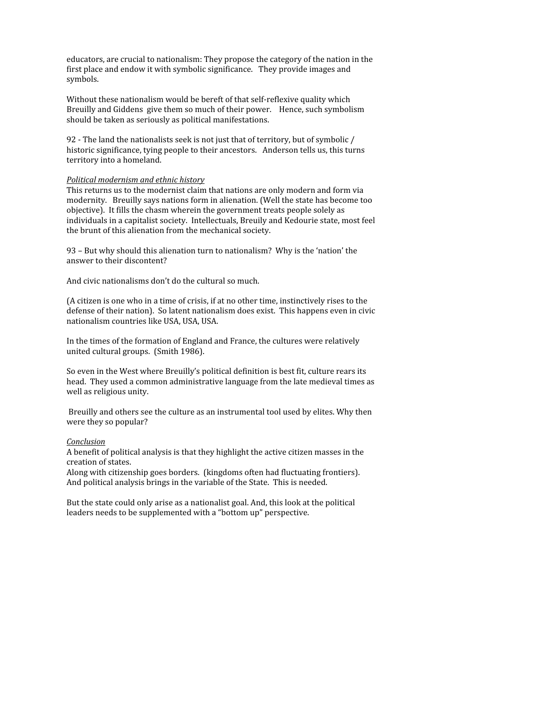educators,
are
crucial
to
nationalism:
They
propose
the
category
of
the
nation
in
the first place and endow it with symbolic significance. They provide images and symbols.

Without these nationalism would be bereft of that self-reflexive quality which Breuilly and Giddens give them so much of their power. Hence, such symbolism should
be
taken
as
seriously
as
political
manifestations.

92
‐
The
land
the
nationalists
seek
is
not
just
that
of
territory,
but
of
symbolic
/ historic significance, tying people to their ancestors. Anderson tells us, this turns territory
into
a
homeland.

### *Political
modernism
and
ethnic
history*

This returns us to the modernist claim that nations are only modern and form via modernity.

Breuilly
says
nations
form
in
alienation.
(Well
the
state
has
become
too objective).

It
fills
the
chasm
wherein
the
government
treats
people
solely
as individuals
in
a
capitalist
society.

Intellectuals,
Breuily
and
Kedourie
state,
most
feel the
brunt
of
this
alienation
from
the
mechanical
society.

93 - But why should this alienation turn to nationalism? Why is the 'nation' the answer
to
their
discontent?

And
civic
nationalisms
don't
do
the
cultural
so
much.

(A
citizen
is
one
who
in
a
time
of
crisis,
if
at
no
other
time,
instinctively
rises
to
the defense of their nation). So latent nationalism does exist. This happens even in civic nationalism
countries
like
USA,
USA,
USA.

In the times of the formation of England and France, the cultures were relatively united
cultural
groups.

(Smith
1986).

So even in the West where Breuilly's political definition is best fit, culture rears its head. They used a common administrative language from the late medieval times as well
as
religious
unity.

Breuilly
and
others
see
the
culture
as
an
instrumental
tool
used
by
elites.
Why
then were
they
so
popular?

### *Conclusion*

A benefit of political analysis is that they highlight the active citizen masses in the creation
of
states.

Along
with
citizenship
goes
borders.

(kingdoms
often
had
fluctuating
frontiers). And
political
analysis
brings
in
the
variable
of
the
State.

This
is
needed.

But the state could only arise as a nationalist goal. And, this look at the political leaders
needs
to
be
supplemented
with
a
"bottom
up"
perspective.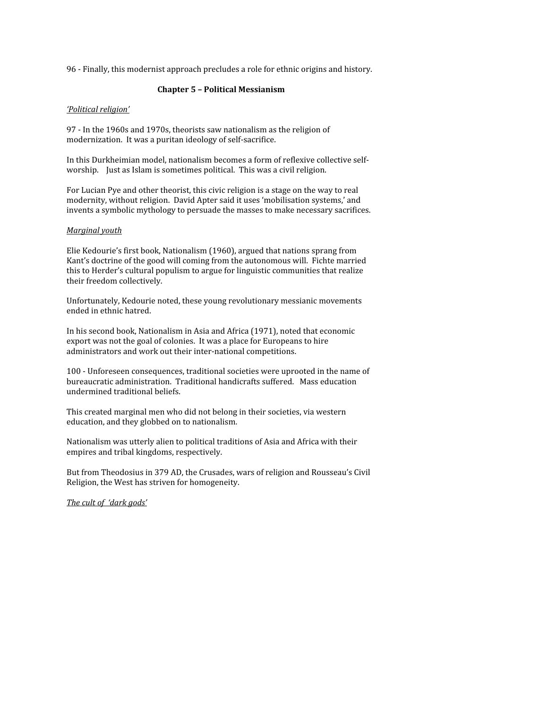96
‐
Finally,
this
modernist
approach
precludes
a
role
for
ethnic
origins
and
history.

## **Chapter
5
–
Political
Messianism**

### *'Political
religion'*

97
‐
In
the
1960s
and
1970s,
theorists
saw
nationalism
as
the
religion
of modernization.

It
was
a
puritan
ideology
of
self‐sacrifice.

In this Durkheimian model, nationalism becomes a form of reflexive collective selfworship. Just as Islam is sometimes political. This was a civil religion.

For Lucian Pye and other theorist, this civic religion is a stage on the way to real modernity,
without
religion.

David
Apter
said
it
uses
'mobilisation
systems,'
and invents
a
symbolic
mythology
to
persuade
the
masses
to
make
necessary
sacrifices.

## *Marginal
youth*

Elie
Kedourie's
first
book,
Nationalism
(1960),
argued
that
nations
sprang
from Kant's
doctrine
of
the
good
will
coming
from
the
autonomous
will.

Fichte
married this
to
Herder's
cultural
populism
to
argue
for
linguistic
communities
that
realize their
freedom
collectively.

Unfortunately,
Kedourie
noted,
these
young
revolutionary
messianic
movements ended
in
ethnic
hatred.

In his second book, Nationalism in Asia and Africa (1971), noted that economic export
was
not
the
goal
of
colonies.

It
was
a
place
for
Europeans
to
hire administrators
and
work
out
their
inter‐national
competitions.

100
‐
Unforeseen
consequences,
traditional
societies
were
uprooted
in
the
name
of bureaucratic
administration.

Traditional
handicrafts
suffered.

Mass
education undermined
traditional
beliefs.

This
created
marginal
men
who
did
not
belong
in
their
societies,
via
western education,
and
they
globbed
on
to
nationalism.

Nationalism was utterly alien to political traditions of Asia and Africa with their empires
and
tribal
kingdoms,
respectively.

But
from
Theodosius
in
379
AD,
the
Crusades,
wars
of
religion
and
Rousseau's
Civil Religion,
the
West
has
striven
for
homogeneity.

*The
cult
of 'dark
gods'*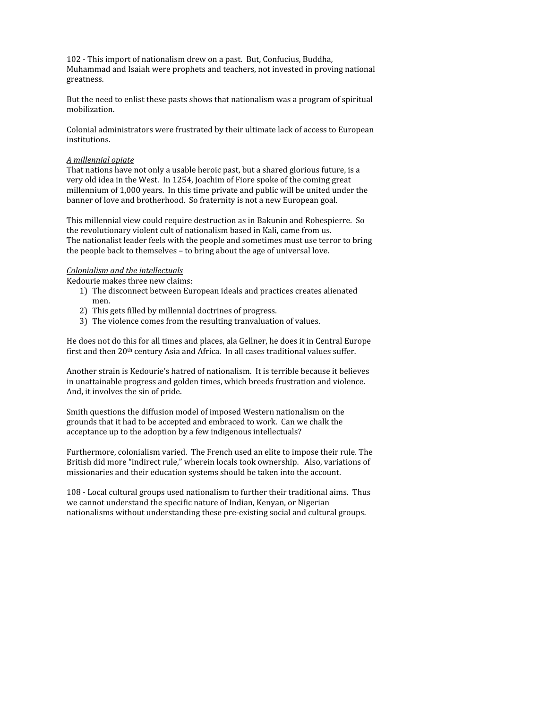102
‐
This
import
of
nationalism
drew
on
a
past.

But,
Confucius,
Buddha, Muhammad
and
Isaiah
were
prophets
and
teachers,
not
invested
in
proving
national greatness.

But the need to enlist these pasts shows that nationalism was a program of spiritual mobilization.

Colonial administrators were frustrated by their ultimate lack of access to European institutions.

## *A
millennial
opiate*

That nations have not only a usable heroic past, but a shared glorious future, is a very
old
idea
in
the
West.

In
1254,
Joachim
of
Fiore
spoke
of
the
coming
great millennium
of
1,000
years.

In
this
time
private
and
public
will
be
united
under
the banner
of
love
and
brotherhood.

So
fraternity
is
not
a
new
European
goal.

This
millennial
view
could
require
destruction
as
in
Bakunin
and
Robespierre.

So the
revolutionary
violent
cult
of
nationalism
based
in
Kali,
came
from
us. The
nationalist
leader
feels
with
the
people
and
sometimes
must
use
terror
to
bring the people back to themselves - to bring about the age of universal love.

# *Colonialism
and
the
intellectuals*

Kedourie
makes
three
new
claims:

- 1) The
disconnect
between
European
ideals
and
practices
creates
alienated men.
- 2) This
gets
filled
by
millennial
doctrines
of
progress.
- 3) The
violence
comes
from
the
resulting
tranvaluation
of
values.

He does not do this for all times and places, ala Gellner, he does it in Central Europe first and then 20<sup>th</sup> century Asia and Africa. In all cases traditional values suffer.

Another
strain
is
Kedourie's
hatred
of
nationalism.

It
is
terrible
because
it
believes in
unattainable
progress
and
golden
times,
which
breeds
frustration
and
violence. And,
it
involves
the
sin
of
pride.

Smith
questions
the
diffusion
model
of
imposed
Western
nationalism
on
the grounds
that
it
had
to
be
accepted
and
embraced
to
work.

Can
we
chalk
the acceptance
up
to
the
adoption
by
a
few
indigenous
intellectuals?

Furthermore, colonialism varied. The French used an elite to impose their rule. The British did more "indirect rule," wherein locals took ownership. Also, variations of missionaries
and
their
education
systems
should
be
taken
into
the
account.

108 - Local cultural groups used nationalism to further their traditional aims. Thus we
cannot
understand
the
specific
nature
of
Indian,
Kenyan,
or
Nigerian nationalisms
without
understanding
these
pre‐existing
social
and
cultural
groups.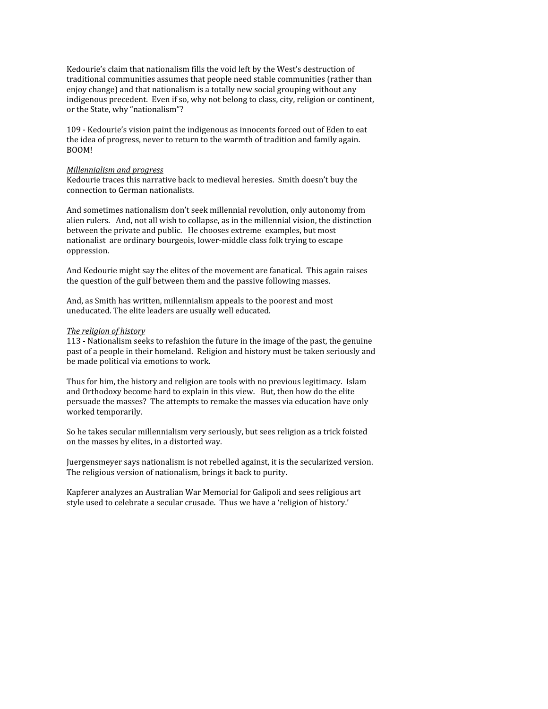Kedourie's claim that nationalism fills the void left by the West's destruction of traditional
communities
assumes
that
people
need
stable
communities
(rather
than enjoy change) and that nationalism is a totally new social grouping without any indigenous
precedent.

Even
if
so,
why
not
belong
to
class,
city,
religion
or
continent, or
the
State,
why
"nationalism"?

109
‐
Kedourie's
vision
paint
the
indigenous
as
innocents
forced
out
of
Eden
to
eat the
idea
of
progress,
never
to
return
to
the
warmth
of
tradition
and
family
again. BOOM!

#### *Millennialism
and
progress*

Kedourie
traces
this
narrative
back
to
medieval
heresies.

Smith
doesn't
buy
the connection
to
German
nationalists.

And
sometimes
nationalism
don't
seek
millennial
revolution,
only
autonomy
from alien
rulers.

And,
not
all
wish
to
collapse,
as
in
the
millennial
vision,
the
distinction between
the
private
and
public.

He
chooses
extreme

examples,
but
most nationalist are ordinary bourgeois, lower-middle class folk trying to escape oppression.

And Kedourie might say the elites of the movement are fanatical. This again raises the
question
of
the
gulf
between
them
and
the
passive
following
masses.

And,
as
Smith
has
written,
millennialism
appeals
to
the
poorest
and
most uneducated.
The
elite
leaders
are
usually
well
educated.

#### *The
religion
of
history*

113
‐
Nationalism
seeks
to
refashion
the
future
in
the
image
of
the
past,
the
genuine past
of
a
people
in
their
homeland.

Religion
and
history
must
be
taken
seriously
and be
made
political
via
emotions
to
work.

Thus for him, the history and religion are tools with no previous legitimacy. Islam and
Orthodoxy
become
hard
to
explain
in
this
view.

But,
then
how
do
the
elite persuade
the
masses?

The
attempts
to
remake
the
masses
via
education
have
only worked
temporarily.

So
he
takes
secular
millennialism
very
seriously,
but
sees
religion
as
a
trick
foisted on
the
masses
by
elites,
in
a
distorted
way.

Juergensmeyer says nationalism is not rebelled against, it is the secularized version. The
religious
version
of
nationalism,
brings
it
back
to
purity.

Kapferer
analyzes
an
Australian
War
Memorial
for
Galipoli
and
sees
religious
art style
used
to
celebrate
a
secular
crusade.

Thus
we
have
a
'religion
of
history.'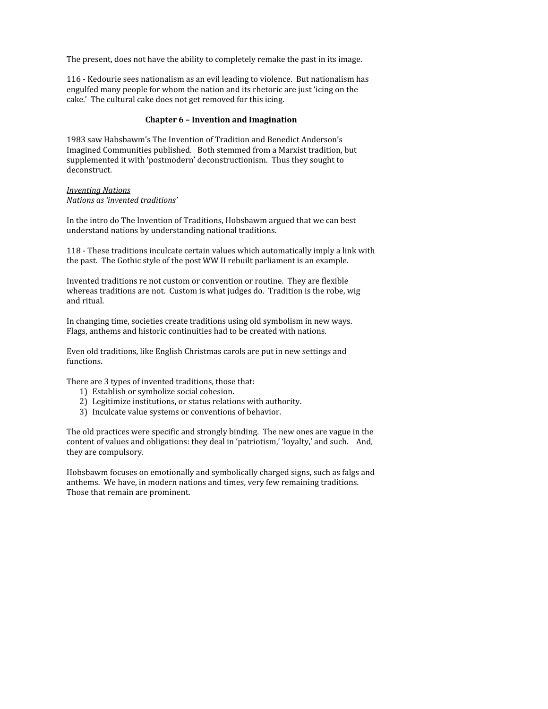The present, does not have the ability to completely remake the past in its image.

116
‐
Kedourie
sees
nationalism
as
an
evil
leading
to
violence.

But
nationalism
has engulfed many people for whom the nation and its rhetoric are just 'icing on the cake.'

The
cultural
cake
does
not
get
removed
for
this
icing.

## **Chapter
6
–
Invention
and
Imagination**

1983
saw
Habsbawm's
The
Invention
of
Tradition
and
Benedict
Anderson's Imagined
Communities
published.

Both
stemmed
from
a
Marxist
tradition,
but supplemented it with 'postmodern' deconstructionism. Thus they sought to deconstruct.

### *Inventing
Nations Nations
as
'invented
traditions'*

In
the
intro
do
The
Invention
of
Traditions,
Hobsbawm
argued
that
we
can
best understand
nations
by
understanding
national
traditions.

118
‐
These
traditions
inculcate
certain
values
which
automatically
imply
a
link
with the past. The Gothic style of the post WW II rebuilt parliament is an example.

Invented
traditions
re
not
custom
or
convention
or
routine.

They
are
flexible whereas traditions are not. Custom is what judges do. Tradition is the robe, wig and
ritual.

In
changing
time,
societies
create
traditions
using
old
symbolism
in
new
ways. Flags,
anthems
and
historic
continuities
had
to
be
created
with
nations.

Even
old
traditions,
like
English
Christmas
carols
are
put
in
new
settings
and functions.

There
are
3
types
of
invented
traditions,
those
that:

- 1) Establish
or
symbolize
social
cohesion.
- 2) Legitimize
institutions,
or
status
relations
with
authority.
- 3) Inculcate
value
systems
or
conventions
of
behavior.

The
old
practices
were
specific
and
strongly
binding.

The
new
ones
are
vague
in
the content of values and obligations: they deal in 'patriotism,' 'loyalty,' and such. And, they
are
compulsory.

Hobsbawm
focuses
on
emotionally
and
symbolically
charged
signs,
such
as
falgs
and anthems.

We
have,
in
modern
nations
and
times,
very
few
remaining
traditions. Those
that
remain
are
prominent.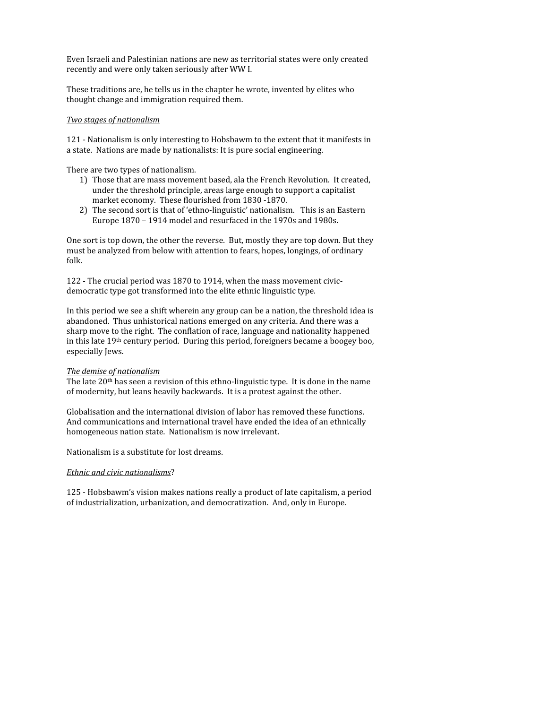Even
Israeli
and
Palestinian
nations
are
new
as
territorial
states
were
only
created recently
and
were
only
taken
seriously
after
WW
I.

These
traditions
are,
he
tells
us
in
the
chapter
he
wrote,
invented
by
elites
who thought
change
and
immigration
required
them.

### *Two
stages
of
nationalism*

121
‐
Nationalism
is
only
interesting
to
Hobsbawm
to
the
extent
that
it
manifests
in a
state.

Nations
are
made
by
nationalists:
It
is
pure
social
engineering.

There
are
two
types
of
nationalism.

- 1) Those
that
are
mass
movement
based,
ala
the
French
Revolution.

It
created, under
the
threshold
principle,
areas
large
enough
to
support
a
capitalist market
economy.

These
flourished
from
1830
‐1870.
- 2) The second sort is that of 'ethno-linguistic' nationalism. This is an Eastern Europe
1870
–
1914
model
and
resurfaced
in
the
1970s
and
1980s.

One sort is top down, the other the reverse. But, mostly they are top down. But they must
be
analyzed
from
below
with
attention
to
fears,
hopes,
longings,
of
ordinary folk.

122 - The crucial period was 1870 to 1914, when the mass movement civicdemocratic
type
got
transformed
into
the
elite
ethnic
linguistic
type.

In this period we see a shift wherein any group can be a nation, the threshold idea is abandoned. Thus unhistorical nations emerged on any criteria. And there was a sharp
move
to
the
right.

The
conflation
of
race,
language
and
nationality
happened in
this
late
19th
century
period.

During
this
period,
foreigners
became
a
boogey
boo, especially
Jews.

### *The
demise
of
nationalism*

The late 20<sup>th</sup> has seen a revision of this ethno-linguistic type. It is done in the name of
modernity,
but
leans
heavily
backwards.

It
is
a
protest
against
the
other.

Globalisation
and
the
international
division
of
labor
has
removed
these
functions. And
communications
and
international
travel
have
ended
the
idea
of
an
ethnically homogeneous
nation
state.

Nationalism
is
now
irrelevant.

Nationalism
is
a
substitute
for
lost
dreams.

## *Ethnic
and
civic
nationalisms*?

125
‐
Hobsbawm's
vision
makes
nations
really
a
product
of
late
capitalism,
a
period of
industrialization,
urbanization,
and
democratization.

And,
only
in
Europe.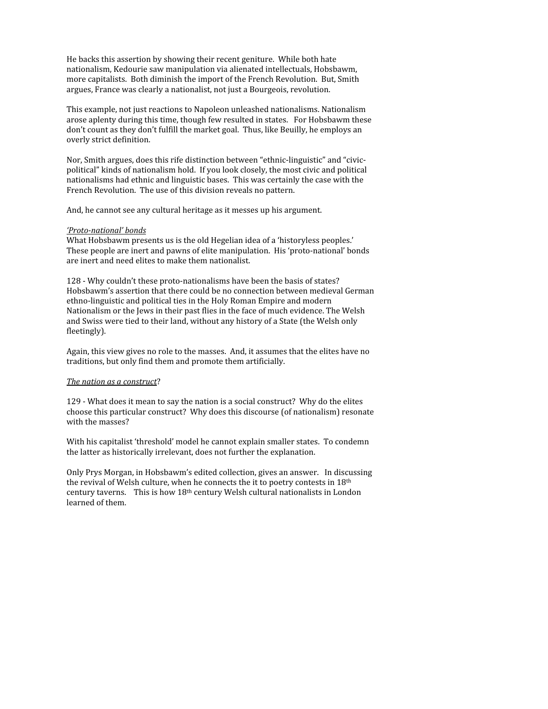He
backs
this
assertion
by
showing
their
recent
geniture.

While
both
hate nationalism,
Kedourie
saw
manipulation
via
alienated
intellectuals,
Hobsbawm, more
capitalists.

Both
diminish
the
import
of
the
French
Revolution.

But,
Smith argues,
France
was
clearly
a
nationalist,
not
just
a
Bourgeois,
revolution.

This example, not just reactions to Napoleon unleashed nationalisms. Nationalism arose
aplenty
during
this
time,
though
few
resulted
in
states.

For
Hobsbawm
these don't
count
as
they
don't
fulfill
the
market
goal.

Thus,
like
Beuilly,
he
employs
an overly
strict
definition.

Nor, Smith argues, does this rife distinction between "ethnic-linguistic" and "civicpolitical"
kinds
of
nationalism
hold.

If
you
look
closely,
the
most
civic
and
political nationalisms
had
ethnic
and
linguistic
bases.

This
was
certainly
the
case
with
the French
Revolution.

The
use
of
this
division
reveals
no
pattern.

And,
he
cannot
see
any
cultural
heritage
as
it
messes
up
his
argument.

### 'Proto-national' bonds

What Hobsbawm presents us is the old Hegelian idea of a 'historyless peoples.' These
people
are
inert
and
pawns
of
elite
manipulation.

His
'proto‐national'
bonds are
inert
and
need
elites
to
make
them
nationalist.

128 - Why couldn't these proto-nationalisms have been the basis of states? Hobsbawm's assertion that there could be no connection between medieval German ethno-linguistic and political ties in the Holy Roman Empire and modern Nationalism or the Jews in their past flies in the face of much evidence. The Welsh and Swiss were tied to their land, without any history of a State (the Welsh only fleetingly).

Again, this view gives no role to the masses. And, it assumes that the elites have no traditions,
but
only
find
them
and
promote
them
artificially.

### *The
nation
as
a
construct*?

129
‐
What
does
it
mean
to
say
the
nation
is
a
social
construct?

Why
do
the
elites choose
this
particular
construct?

Why
does
this
discourse
(of
nationalism)
resonate with
the
masses?

With his capitalist 'threshold' model he cannot explain smaller states. To condemn the
latter
as
historically
irrelevant,
does
not
further
the
explanation.

Only
Prys
Morgan,
in
Hobsbawm's
edited
collection,
gives
an
answer.

In
discussing the revival of Welsh culture, when he connects the it to poetry contests in 18th century taverns. This is how 18<sup>th</sup> century Welsh cultural nationalists in London learned
of
them.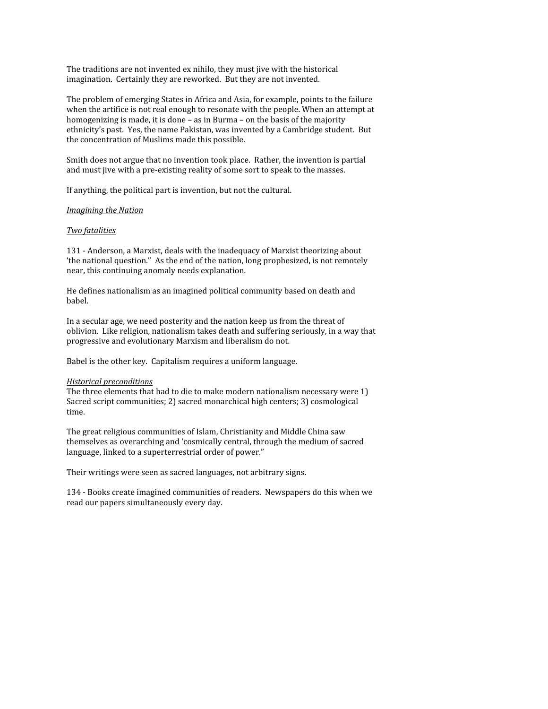The
traditions
are
not
invented
ex
nihilo,
they
must
jive
with
the
historical imagination. Certainly they are reworked. But they are not invented.

The
problem
of
emerging
States
in
Africa
and
Asia,
for
example,
points
to
the
failure when the artifice is not real enough to resonate with the people. When an attempt at homogenizing is made, it is done – as in Burma – on the basis of the majority ethnicity's
past.

Yes,
the
name
Pakistan,
was
invented
by
a
Cambridge
student.

But the
concentration
of
Muslims
made
this
possible.

Smith does not argue that no invention took place. Rather, the invention is partial and
must
jive
with
a
pre‐existing
reality
of
some
sort
to
speak
to
the
masses.

If
anything,
the
political
part
is
invention,
but
not
the
cultural.

### *Imagining
the
Nation*

## *Two
fatalities*

131 - Anderson, a Marxist, deals with the inadequacy of Marxist theorizing about 'the national question." As the end of the nation, long prophesized, is not remotely near,
this
continuing
anomaly
needs
explanation.

He defines nationalism as an imagined political community based on death and babel.

In a secular age, we need posterity and the nation keep us from the threat of oblivion.

Like
religion,
nationalism
takes
death
and
suffering
seriously,
in
a
way
that progressive and evolutionary Marxism and liberalism do not.

Babel
is
the
other
key.

Capitalism
requires
a
uniform
language.

### *Historical
preconditions*

The three elements that had to die to make modern nationalism necessary were 1) Sacred
script
communities;
2)
sacred
monarchical
high
centers;
3)
cosmological time.

The
great
religious
communities
of
Islam,
Christianity
and
Middle
China
saw themselves
as
overarching
and
'cosmically
central,
through
the
medium
of
sacred language, linked to a superterrestrial order of power."

Their
writings
were
seen
as
sacred
languages,
not
arbitrary
signs.

134
‐
Books
create
imagined
communities
of
readers.

Newspapers
do
this
when
we read
our
papers
simultaneously
every
day.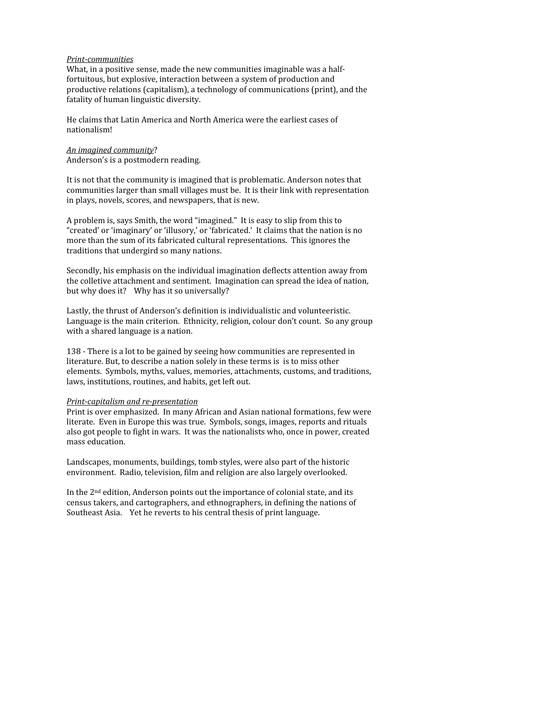#### *Print-communities*

What, in a positive sense, made the new communities imaginable was a halffortuitous,
but
explosive,
interaction
between
a
system
of
production
and productive relations (capitalism), a technology of communications (print), and the fatality
of
human
linguistic
diversity.

He
claims
that
Latin
America
and
North
America
were
the
earliest
cases
of nationalism!

#### *An
imagined
community*? Anderson's
is
a
postmodern
reading.

It is not that the community is imagined that is problematic. Anderson notes that communities
larger
than
small
villages
must
be.

It
is
their
link
with
representation in
plays,
novels,
scores,
and
newspapers,
that
is
new.

A
problem
is,
says
Smith,
the
word
"imagined."

It
is
easy
to
slip
from
this
to "created' or 'imaginary' or 'illusory,' or 'fabricated.' It claims that the nation is no more than the sum of its fabricated cultural representations. This ignores the traditions
that
undergird
so
many
nations.

Secondly, his emphasis on the individual imagination deflects attention away from the
colletive
attachment
and
sentiment.

Imagination
can
spread
the
idea
of
nation, but why does it? Why has it so universally?

Lastly,
the
thrust
of
Anderson's
definition
is
individualistic
and
volunteeristic. Language is the main criterion. Ethnicity, religion, colour don't count. So any group with a shared language is a nation.

138
‐
There
is
a
lot
to
be
gained
by
seeing
how
communities
are
represented
in literature. But, to describe a nation solely in these terms is is to miss other elements.

Symbols,
myths,
values,
memories,
attachments,
customs,
and
traditions, laws,
institutions,
routines,
and
habits,
get
left
out.

### *Print-capitalism and re-presentation*

Print
is
over
emphasized.

In
many
African
and
Asian
national
formations,
few
were literate.

Even
in
Europe
this
was
true.

Symbols,
songs,
images,
reports
and
rituals also
got
people
to
fight
in
wars.

It
was
the
nationalists
who,
once
in
power,
created mass
education.

Landscapes,
monuments,
buildings,
tomb
styles,
were
also
part
of
the
historic environment.

Radio,
television,
film
and
religion
are
also
largely
overlooked.

In the 2<sup>nd</sup> edition, Anderson points out the importance of colonial state, and its census
takers,
and
cartographers,
and
ethnographers,
in
defining
the
nations
of Southeast Asia. Yet he reverts to his central thesis of print language.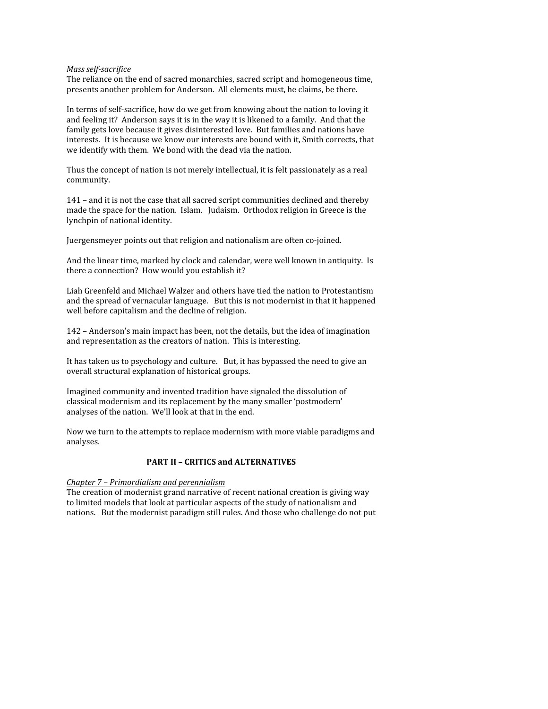### Mass self-sacrifice

The
reliance
on
the
end
of
sacred
monarchies,
sacred
script
and
homogeneous
time, presents
another
problem
for
Anderson.

All
elements
must,
he
claims,
be
there.

In terms of self-sacrifice, how do we get from knowing about the nation to loving it and feeling it? Anderson says it is in the way it is likened to a family. And that the family gets love because it gives disinterested love. But families and nations have interests. It is because we know our interests are bound with it, Smith corrects, that we identify with them. We bond with the dead via the nation.

Thus the concept of nation is not merely intellectual, it is felt passionately as a real community.

141
–
and
it
is
not
the
case
that
all
sacred
script
communities
declined
and
thereby made the space for the nation. Islam. Judaism. Orthodox religion in Greece is the lynchpin
of
national
identity.

Juergensmeyer
points
out
that
religion
and
nationalism
are
often
co‐joined.

And
the
linear
time,
marked
by
clock
and
calendar,
were
well
known
in
antiquity.

Is there a connection? How would you establish it?

Liah
Greenfeld
and
Michael
Walzer
and
others
have
tied
the
nation
to
Protestantism and
the
spread
of
vernacular
language.

But
this
is
not
modernist
in
that
it
happened well
before
capitalism
and
the
decline
of
religion.

142
–
Anderson's
main
impact
has
been,
not
the
details,
but
the
idea
of
imagination and
representation
as
the
creators
of
nation.

This
is
interesting.

It has taken us to psychology and culture. But, it has bypassed the need to give an overall
structural
explanation
of
historical
groups.

Imagined
community
and
invented
tradition
have
signaled
the
dissolution
of classical
modernism
and
its
replacement
by
the
many
smaller
'postmodern' analyses
of
the
nation.

We'll
look
at
that
in
the
end.

Now
we
turn
to
the
attempts
to
replace
modernism
with
more
viable
paradigms
and analyses.

# PART II - CRITICS and ALTERNATIVES

# *Chapter
7
–
Primordialism
and
perennialism*

The
creation
of
modernist
grand
narrative
of
recent
national
creation
is
giving
way to
limited
models
that
look
at
particular
aspects
of
the
study
of
nationalism
and nations.

But
the
modernist
paradigm
still
rules.
And
those
who
challenge
do
not
put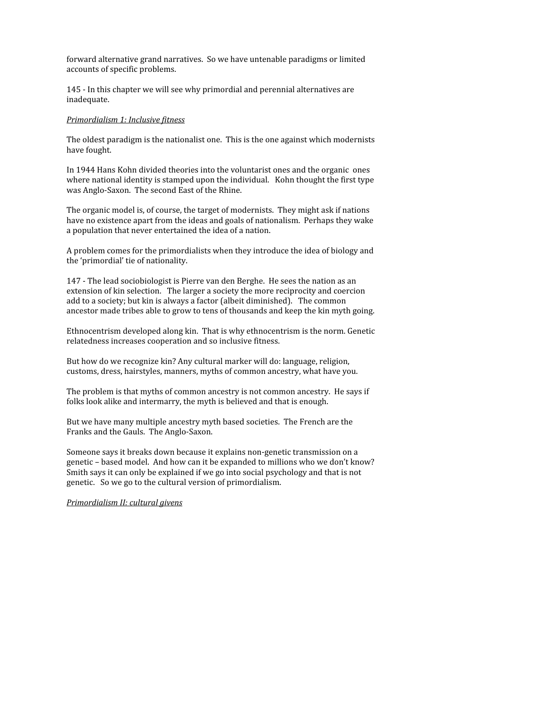forward
alternative
grand
narratives.

So
we
have
untenable
paradigms
or
limited accounts
of
specific
problems.

145
‐
In
this
chapter
we
will
see
why
primordial
and
perennial
alternatives
are inadequate.

### *Primordialism
1:
Inclusive
fitness*

The
oldest
paradigm
is
the
nationalist
one.

This
is
the
one
against
which
modernists have
fought.

In 1944 Hans Kohn divided theories into the voluntarist ones and the organic ones where national identity is stamped upon the individual. Kohn thought the first type was
Anglo‐Saxon.

The
second
East
of
the
Rhine.

The
organic
model
is,
of
course,
the
target
of
modernists.

They
might
ask
if
nations have no existence apart from the ideas and goals of nationalism. Perhaps they wake a
population
that
never
entertained
the
idea
of
a
nation.

A
problem
comes
for
the
primordialists
when
they
introduce
the
idea
of
biology
and the
'primordial'
tie
of
nationality.

147 - The lead sociobiologist is Pierre van den Berghe. He sees the nation as an extension of kin selection. The larger a society the more reciprocity and coercion add to a society; but kin is always a factor (albeit diminished). The common ancestor
made
tribes
able
to
grow
to
tens
of
thousands
and
keep
the
kin
myth
going.

Ethnocentrism
developed
along
kin.

That
is
why
ethnocentrism
is
the
norm.
Genetic relatedness
increases
cooperation
and
so
inclusive
fitness.

But how do we recognize kin? Any cultural marker will do: language, religion, customs,
dress,
hairstyles,
manners,
myths
of
common
ancestry,
what
have
you.

The problem is that myths of common ancestry is not common ancestry. He says if folks look alike and intermarry, the myth is believed and that is enough.

But
we
have
many
multiple
ancestry
myth
based
societies.

The
French
are
the Franks
and
the
Gauls.

The
Anglo‐Saxon.

Someone
says
it
breaks
down
because
it
explains
non‐genetic
transmission
on
a genetic
–
based
model.

And
how
can
it
be
expanded
to
millions
who
we
don't
know? Smith
says
it
can
only
be
explained
if
we
go
into
social
psychology
and
that
is
not genetic.

So
we
go
to
the
cultural
version
of
primordialism.

*Primordialism
II:
cultural
givens*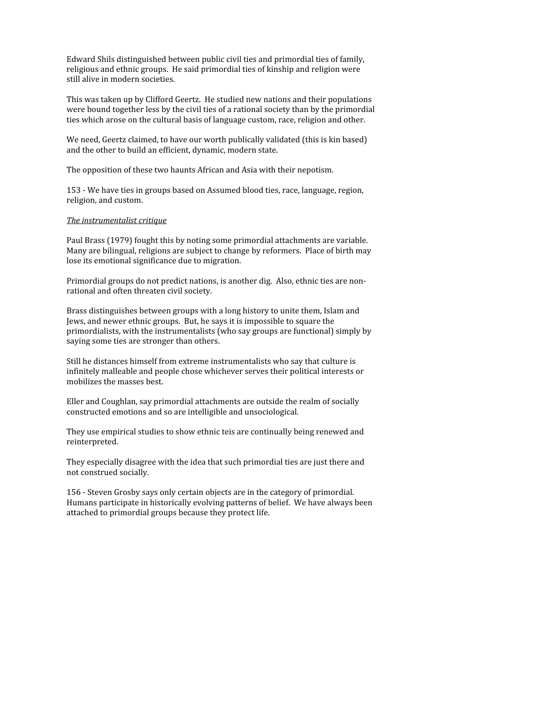Edward
Shils
distinguished
between
public
civil
ties
and
primordial
ties
of
family, religious
and
ethnic
groups.

He
said
primordial
ties
of
kinship
and
religion
were still
alive
in
modern
societies.

This
was
taken
up
by
Clifford
Geertz.

He
studied
new
nations
and
their
populations were bound together less by the civil ties of a rational society than by the primordial ties
which
arose
on
the
cultural
basis
of
language
custom,
race,
religion
and
other.

We need, Geertz claimed, to have our worth publically validated (this is kin based) and
the
other
to
build
an
efficient,
dynamic,
modern
state.

The
opposition
of
these
two
haunts
African
and
Asia
with
their
nepotism.

153
‐
We
have
ties
in
groups
based
on
Assumed
blood
ties,
race,
language,
region, religion,
and
custom.

## *The
instrumentalist
critique*

Paul Brass (1979) fought this by noting some primordial attachments are variable. Many are bilingual, religions are subject to change by reformers. Place of birth may lose
its
emotional
significance
due
to
migration.

Primordial groups do not predict nations, is another dig. Also, ethnic ties are nonrational
and
often
threaten
civil
society.

Brass
distinguishes
between
groups
with
a
long
history
to
unite
them,
Islam
and Jews, and newer ethnic groups. But, he says it is impossible to square the primordialists,
with
the
instrumentalists
(who
say
groups
are
functional)
simply
by saying
some
ties
are
stronger
than
others.

Still
he
distances
himself
from
extreme
instrumentalists
who
say
that
culture
is infinitely
malleable
and
people
chose
whichever
serves
their
political
interests
or mobilizes
the
masses
best.

Eller and Coughlan, say primordial attachments are outside the realm of socially constructed
emotions
and
so
are
intelligible
and
unsociological.

They
use
empirical
studies
to
show
ethnic
teis
are
continually
being
renewed
and reinterpreted.

They
especially
disagree
with
the
idea
that
such
primordial
ties
are
just
there
and not
construed
socially.

156
‐
Steven
Grosby
says
only
certain
objects
are
in
the
category
of
primordial. Humans
participate
in
historically
evolving
patterns
of
belief.

We
have
always
been attached
to
primordial
groups
because
they
protect
life.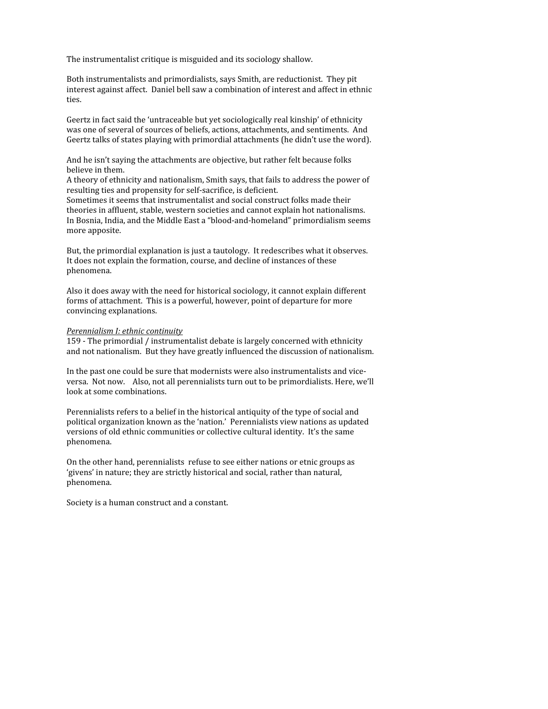The
instrumentalist
critique
is
misguided
and
its
sociology
shallow.

Both
instrumentalists
and
primordialists,
says
Smith,
are
reductionist.

They
pit interest
against
affect.

Daniel
bell
saw
a
combination
of
interest
and
affect
in
ethnic ties.

Geertz in fact said the 'untraceable but yet sociologically real kinship' of ethnicity was one of several of sources of beliefs, actions, attachments, and sentiments. And Geertz talks of states playing with primordial attachments (he didn't use the word).

And
he
isn't
saying
the
attachments
are
objective,
but
rather
felt
because
folks believe
in
them.

A
theory
of
ethnicity
and
nationalism,
Smith
says,
that
fails
to
address
the
power
of resulting
ties
and
propensity
for
self‐sacrifice,
is
deficient.

Sometimes
it
seems
that
instrumentalist
and
social
construct
folks
made
their theories
in
affluent,
stable,
western
societies
and
cannot
explain
hot
nationalisms. In
Bosnia,
India,
and
the
Middle
East
a
"blood‐and‐homeland"
primordialism
seems more
apposite.

But, the primordial explanation is just a tautology. It redescribes what it observes. It does not explain the formation, course, and decline of instances of these phenomena.

Also
it
does
away
with
the
need
for
historical
sociology,
it
cannot
explain
different forms of attachment. This is a powerful, however, point of departure for more convincing
explanations.

#### *Perennialism
I:
ethnic
continuity*

159
‐
The
primordial
/
instrumentalist
debate
is
largely
concerned
with
ethnicity and
not
nationalism.

But
they
have
greatly
influenced
the
discussion
of
nationalism.

In the past one could be sure that modernists were also instrumentalists and viceversa. Not now. Also, not all perennialists turn out to be primordialists. Here, we'll look
at
some
combinations.

Perennialists refers to a belief in the historical antiquity of the type of social and political
organization
known
as
the
'nation.'

Perennialists
view
nations
as
updated versions of old ethnic communities or collective cultural identity. It's the same phenomena.

On
the
other
hand,
perennialists

refuse
to
see
either
nations
or
etnic
groups
as 'givens' in nature; they are strictly historical and social, rather than natural, phenomena.

Society
is
a
human
construct
and
a
constant.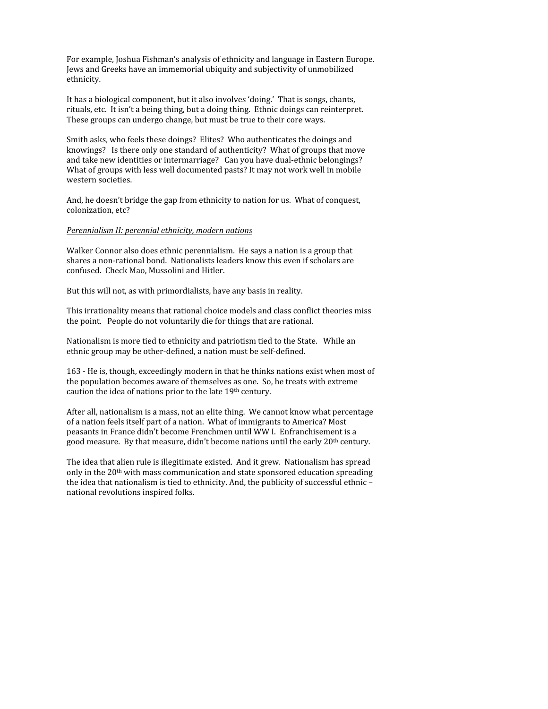For
example,
Joshua
Fishman's
analysis
of
ethnicity
and
language
in
Eastern
Europe. Jews
and
Greeks
have
an
immemorial
ubiquity
and
subjectivity
of
unmobilized ethnicity.

It has a biological component, but it also involves 'doing.' That is songs, chants, rituals, etc. It isn't a being thing, but a doing thing. Ethnic doings can reinterpret. These
groups
can
undergo
change,
but
must
be
true
to
their
core
ways.

Smith asks, who feels these doings? Elites? Who authenticates the doings and knowings? Is there only one standard of authenticity? What of groups that move and
take
new
identities
or
intermarriage?

Can
you
have
dual‐ethnic
belongings? What of groups with less well documented pasts? It may not work well in mobile western
societies.

And,
he
doesn't
bridge
the
gap
from
ethnicity
to
nation
for
us.

What
of
conquest, colonization,
etc?

#### *Perennialism
II:
perennial
ethnicity,
modern
nations*

Walker Connor also does ethnic perennialism. He says a nation is a group that shares
a
non‐rational
bond.

Nationalists
leaders
know
this
even
if
scholars
are confused.

Check
Mao,
Mussolini
and
Hitler.

But this will not, as with primordialists, have any basis in reality.

This
irrationality
means
that
rational
choice
models
and
class
conflict
theories
miss the
point.

People
do
not
voluntarily
die
for
things
that
are
rational.

Nationalism is more tied to ethnicity and patriotism tied to the State. While an ethnic
group
may
be
other‐defined,
a
nation
must
be
self‐defined.

163
‐
He
is,
though,
exceedingly
modern
in
that
he
thinks
nations
exist
when
most
of the
population
becomes
aware
of
themselves
as
one.

So,
he
treats
with
extreme caution
the
idea
of
nations
prior
to
the
late
19th
century.

After all, nationalism is a mass, not an elite thing. We cannot know what percentage of
a
nation
feels
itself
part
of
a
nation.

What
of
immigrants
to
America?
Most peasants
in
France
didn't
become
Frenchmen
until
WW
I.

Enfranchisement
is
a good measure. By that measure, didn't become nations until the early 20<sup>th</sup> century.

The idea that alien rule is illegitimate existed. And it grew. Nationalism has spread only in the 20<sup>th</sup> with mass communication and state sponsored education spreading the idea that nationalism is tied to ethnicity. And, the publicity of successful ethnic national
revolutions
inspired
folks.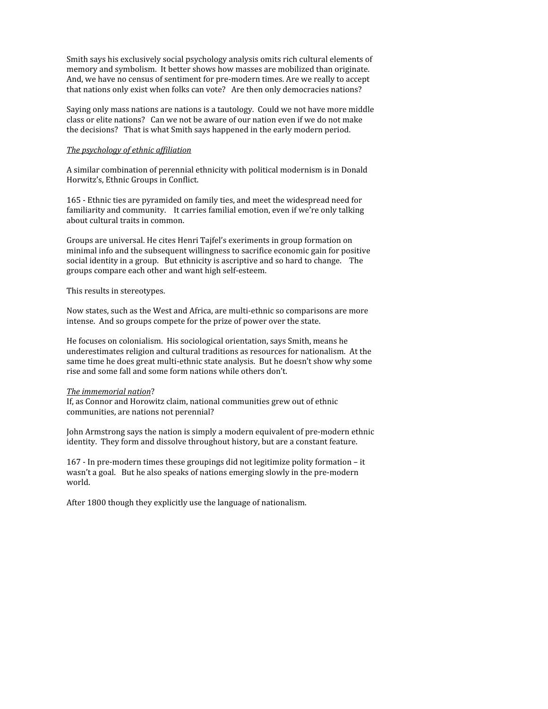Smith
says
his
exclusively
social
psychology
analysis
omits
rich
cultural
elements
of memory
and
symbolism.

It
better
shows
how
masses
are
mobilized
than
originate. And, we have no census of sentiment for pre-modern times. Are we really to accept that nations only exist when folks can vote? Are then only democracies nations?

Saying only mass nations are nations is a tautology. Could we not have more middle class
or
elite
nations?

Can
we
not
be
aware
of
our
nation
even
if
we
do
not
make the
decisions?

That
is
what
Smith
says
happened
in
the
early
modern
period.

#### *The
psychology
of
ethnic
affiliation*

A
similar
combination
of
perennial
ethnicity
with
political
modernism
is
in
Donald Horwitz's,
Ethnic
Groups
in
Conflict.

165
‐
Ethnic
ties
are
pyramided
on
family
ties,
and
meet
the
widespread
need
for familiarity
and
community.

It
carries
familial
emotion,
even
if
we're
only
talking about
cultural
traits
in
common.

Groups are universal. He cites Henri Tajfel's exeriments in group formation on minimal
info
and
the
subsequent
willingness
to
sacrifice
economic
gain
for
positive social identity in a group. But ethnicity is ascriptive and so hard to change. The groups
compare
each
other
and
want
high
self‐esteem.

This
results
in
stereotypes.

Now states, such as the West and Africa, are multi-ethnic so comparisons are more intense.

And
so
groups
compete
for
the
prize
of
power
over
the
state.

He
focuses
on
colonialism.

His
sociological
orientation,
says
Smith,
means
he underestimates
religion
and
cultural
traditions
as
resources
for
nationalism.

At
the same time he does great multi-ethnic state analysis. But he doesn't show why some rise
and
some
fall
and
some
form
nations
while
others
don't.

### *The
immemorial
nation*?

If, as Connor and Horowitz claim, national communities grew out of ethnic communities,
are
nations
not
perennial?

John
Armstrong
says
the
nation
is
simply
a
modern
equivalent
of
pre‐modern
ethnic identity.

They
form
and
dissolve
throughout
history,
but
are
a
constant
feature.

167
‐
In
pre‐modern
times
these
groupings
did
not
legitimize
polity
formation
–
it wasn't a goal. But he also speaks of nations emerging slowly in the pre-modern world.

After
1800
though
they
explicitly
use
the
language
of
nationalism.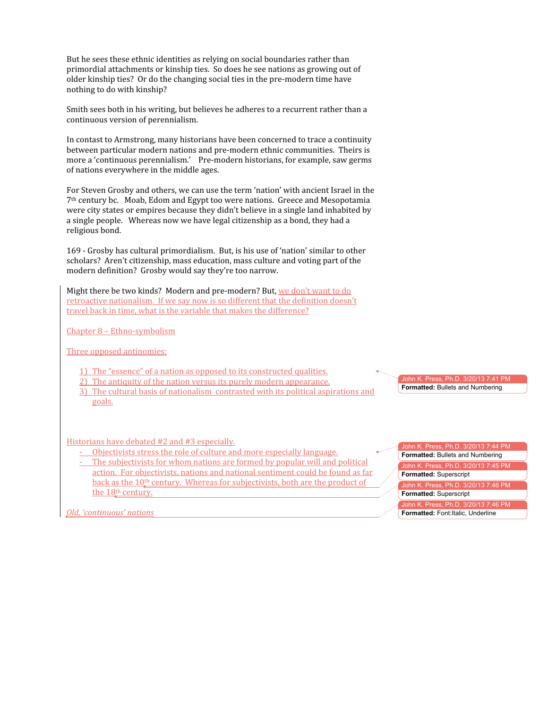But he sees these ethnic identities as relying on social boundaries rather than primordial attachments or kinship ties. So does he see nations as growing out of older
kinship
ties?

Or
do
the
changing
social
ties
in
the
pre‐modern
time
have nothing
to
do
with
kinship?

Smith sees both in his writing, but believes he adheres to a recurrent rather than a continuous
version
of
perennialism.

In
contast
to
Armstrong,
many
historians
have
been
concerned
to
trace
a
continuity between
particular
modern
nations
and
pre‐modern
ethnic
communities.

Theirs
is more a 'continuous perennialism.' Pre-modern historians, for example, saw germs of
nations
everywhere
in
the
middle
ages.

For Steven Grosby and others, we can use the term 'nation' with ancient Israel in the 7th
century
bc.

Moab,
Edom
and
Egypt
too
were
nations.

Greece
and
Mesopotamia were city states or empires because they didn't believe in a single land inhabited by a single people. Whereas now we have legal citizenship as a bond, they had a religious
bond.

169
‐
Grosby
has
cultural
primordialism.

But,
is
his
use
of
'nation'
similar
to
other scholars? Aren't citizenship, mass education, mass culture and voting part of the modern
definition?

Grosby
would
say
they're
too
narrow.

Might there be two kinds? Modern and pre-modern? But, we don't want to do retroactive nationalism. If we say now is so different that the definition doesn't travel back in time, what is the variable that makes the difference?

Chapter
8
–
Ethno‐symbolism

Three
opposed
antinomies:

- 1) The
"essence"
of
a
nation
as
opposed
to
its
constructed
qualities.
- 2) The antiquity of the nation versus its purely modern appearance.
- 3) The
cultural
basis
of
nationalism

contrasted
with
its
political
aspirations
and goals.

Historians
have
debated
#2
and
#3
especially.

- Objectivists stress the role of culture and more especially language.
- The subjectivists for whom nations are formed by popular will and political action. For objectivists, nations and national sentiment could be found as far back as the 10<sup>th</sup> century. Whereas for subjectivists, both are the product of the 18<sup>th</sup> century.

John K. Press, Ph.D. 3/20/13 7:41 P<mark>l</mark> **Formatted:** Bullets and Numbering

ohn K. Press, Ph.D. 3/20/13 7:44 PM **Formatted:** Bullets and Numbering John K. Press, Ph.D. 3/20/13 7:45 PM **Formatted:** Superscript John K. Press, Ph.D. 3/20/13 7:46 PM **Formatted:** Superscript John K. Press, Ph.D. 3/20/13 7:46 PM **Formatted:** Font:Italic, Underline

*Old,
'continuous'
nations*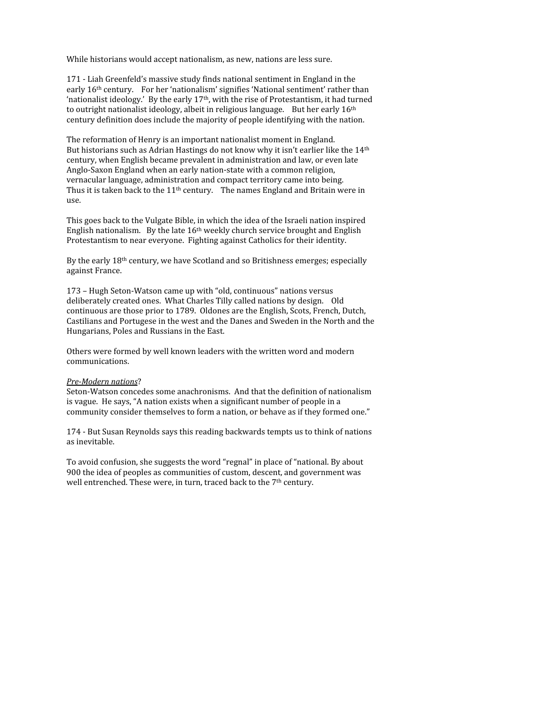While historians would accept nationalism, as new, nations are less sure.

171
‐
Liah
Greenfeld's
massive
study
finds
national
sentiment
in
England
in
the early 16<sup>th</sup> century. For her 'nationalism' signifies 'National sentiment' rather than 'nationalist ideology.' By the early 17<sup>th</sup>, with the rise of Protestantism, it had turned to outright nationalist ideology, albeit in religious language. But her early 16<sup>th</sup> century
definition
does
include
the
majority
of
people
identifying
with
the
nation.

The
reformation
of
Henry
is
an
important
nationalist
moment
in
England. But historians such as Adrian Hastings do not know why it isn't earlier like the 14<sup>th</sup> century,
when
English
became
prevalent
in
administration
and
law,
or
even
late Anglo‐Saxon
England
when
an
early
nation‐state
with
a
common
religion, vernacular
language,
administration
and
compact
territory
came
into
being. Thus it is taken back to the 11<sup>th</sup> century. The names England and Britain were in use.

This
goes
back
to
the
Vulgate
Bible,
in
which
the
idea
of
the
Israeli
nation
inspired English nationalism. By the late 16<sup>th</sup> weekly church service brought and English Protestantism to near everyone. Fighting against Catholics for their identity.

By the early 18<sup>th</sup> century, we have Scotland and so Britishness emerges; especially against
France.

173
–
Hugh
Seton‐Watson
came
up
with
"old,
continuous"
nations
versus deliberately created ones. What Charles Tilly called nations by design. Old continuous
are
those
prior
to
1789.

Oldones
are
the
English,
Scots,
French,
Dutch, Castilians
and
Portugese
in
the
west
and
the
Danes
and
Sweden
in
the
North
and
the Hungarians,
Poles
and
Russians
in
the
East.

Others
were
formed
by
well
known
leaders
with
the
written
word
and
modern communications.

#### Pre-Modern nations?

Seton-Watson concedes some anachronisms. And that the definition of nationalism is vague. He says, "A nation exists when a significant number of people in a community consider themselves to form a nation, or behave as if they formed one."

174
‐
But
Susan
Reynolds
says
this
reading
backwards
tempts
us
to
think
of
nations as
inevitable.

To avoid confusion, she suggests the word "regnal" in place of "national. By about 900
the
idea
of
peoples
as
communities
of
custom,
descent,
and
government
was well entrenched. These were, in turn, traced back to the 7<sup>th</sup> century.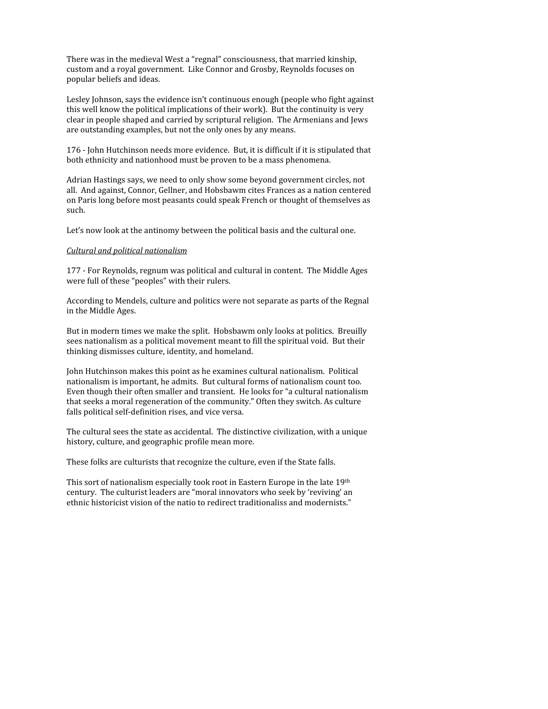There
was
in
the
medieval
West
a
"regnal"
consciousness,
that
married
kinship, custom
and
a
royal
government.

Like
Connor
and
Grosby,
Reynolds
focuses
on popular
beliefs
and
ideas.

Lesley Johnson, says the evidence isn't continuous enough (people who fight against this well know the political implications of their work). But the continuity is very clear
in
people
shaped
and
carried
by
scriptural
religion.

The
Armenians
and
Jews are
outstanding
examples,
but
not
the
only
ones
by
any
means.

176
‐
John
Hutchinson
needs
more
evidence.

But,
it
is
difficult
if
it
is
stipulated
that both
ethnicity
and
nationhood
must
be
proven
to
be
a
mass
phenomena.

Adrian
Hastings
says,
we
need
to
only
show
some
beyond
government
circles,
not all.

And
against,
Connor,
Gellner,
and
Hobsbawm
cites
Frances
as
a
nation
centered on
Paris
long
before
most
peasants
could
speak
French
or
thought
of
themselves
as such.

Let's now look at the antinomy between the political basis and the cultural one.

## *Cultural
and
political
nationalism*

177
‐
For
Reynolds,
regnum
was
political
and
cultural
in
content.

The
Middle
Ages were full of these "peoples" with their rulers.

According
to
Mendels,
culture
and
politics
were
not
separate
as
parts
of
the
Regnal in
the
Middle
Ages.

But in modern times we make the split. Hobsbawm only looks at politics. Breuilly sees nationalism as a political movement meant to fill the spiritual void. But their thinking
dismisses
culture,
identity,
and
homeland.

John
Hutchinson
makes
this
point
as
he
examines
cultural
nationalism.

Political nationalism
is
important,
he
admits.

But
cultural
forms
of
nationalism
count
too. Even though their often smaller and transient. He looks for "a cultural nationalism that
seeks
a
moral
regeneration
of
the
community."
Often
they
switch.
As
culture falls political self-definition rises, and vice versa.

The
cultural
sees
the
state
as
accidental.

The
distinctive
civilization,
with
a
unique history, culture, and geographic profile mean more.

These
folks
are
culturists
that
recognize
the
culture,
even
if
the
State
falls.

This sort of nationalism especially took root in Eastern Europe in the late 19th century.

The
culturist
leaders
are
"moral
innovators
who
seek
by
'reviving'
an ethnic historicist vision of the natio to redirect traditionaliss and modernists."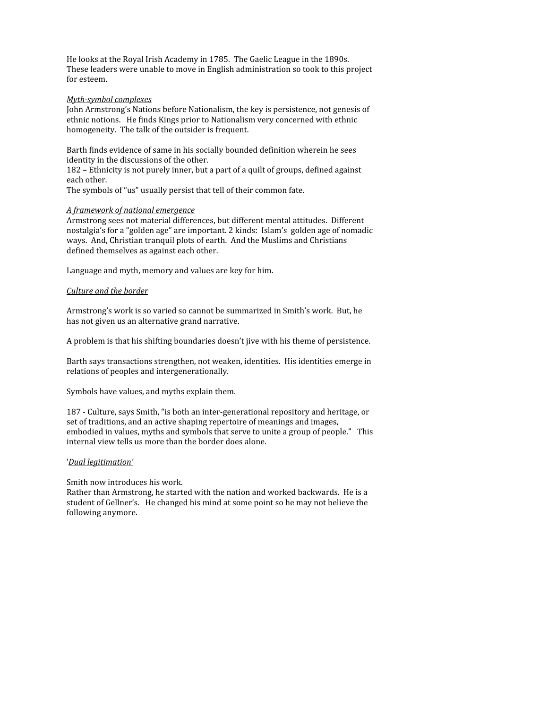He looks at the Royal Irish Academy in 1785. The Gaelic League in the 1890s. These
leaders
were
unable
to
move
in
English
administration
so
took
to
this
project for
esteem.

### **Myth-symbol complexes**

John
Armstrong's
Nations
before
Nationalism,
the
key
is
persistence,
not
genesis
of ethnic
notions.

He
finds
Kings
prior
to
Nationalism
very
concerned
with
ethnic homogeneity.

The
talk
of
the
outsider
is
frequent.

Barth
finds
evidence
of
same
in
his
socially
bounded
definition
wherein
he
sees identity
in
the
discussions
of
the
other.

182
–
Ethnicity
is
not
purely
inner,
but
a
part
of
a
quilt
of
groups,
defined
against each
other.

The symbols of "us" usually persist that tell of their common fate.

### *A
framework
of
national
emergence*

Armstrong
sees
not
material
differences,
but
different
mental
attitudes.

Different nostalgia's for a "golden age" are important. 2 kinds: Islam's golden age of nomadic ways.

And,
Christian
tranquil
plots
of
earth.

And
the
Muslims
and
Christians defined
themselves
as
against
each
other.

Language
and
myth,
memory
and
values
are
key
for
him.

## *Culture
and
the
border*

Armstrong's
work
is
so
varied
so
cannot
be
summarized
in
Smith's
work.

But,
he has
not
given
us
an
alternative
grand
narrative.

A
problem
is
that
his
shifting
boundaries
doesn't
jive
with
his
theme
of
persistence.

Barth
says
transactions
strengthen,
not
weaken,
identities.

His
identities
emerge
in relations
of
peoples
and
intergenerationally.

Symbols
have
values,
and
myths
explain
them.

187 - Culture, says Smith, "is both an inter-generational repository and heritage, or set of traditions, and an active shaping repertoire of meanings and images, embodied in values, myths and symbols that serve to unite a group of people." This internal
view
tells
us
more
than
the
border
does
alone.

### '*Dual
legitimation'*

Smith
now
introduces
his
work.

Rather than Armstrong, he started with the nation and worked backwards. He is a student
of
Gellner's.

He
changed
his
mind
at
some
point
so
he
may
not
believe
the following
anymore.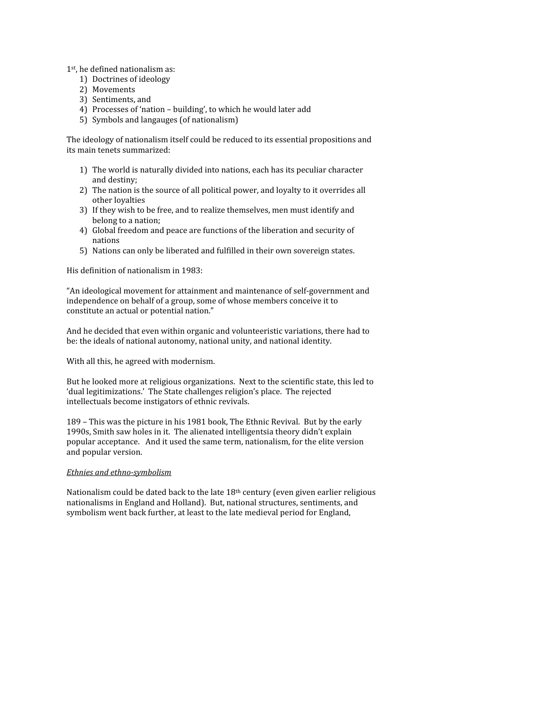1st,
he
defined
nationalism
as:

- 1) Doctrines
of
ideology
- 2) Movements
- 3) Sentiments,
and
- 4) Processes
of
'nation
–
building',
to
which
he
would
later
add
- 5) Symbols
and
langauges
(of
nationalism)

The
ideology
of
nationalism
itself
could
be
reduced
to
its
essential
propositions
and its
main
tenets
summarized:

- 1) The
world
is
naturally
divided
into
nations,
each
has
its
peculiar
character and
destiny;
- 2) The nation is the source of all political power, and loyalty to it overrides all other
loyalties
- 3) If
they
wish
to
be
free,
and
to
realize
themselves,
men
must
identify
and belong
to
a
nation;
- 4) Global
freedom
and
peace
are
functions
of
the
liberation
and
security
of nations
- 5) Nations
can
only
be
liberated
and
fulfilled
in
their
own
sovereign
states.

His
definition
of
nationalism
in
1983:

"An
ideological
movement
for
attainment
and
maintenance
of
self‐government
and independence
on
behalf
of
a
group,
some
of
whose
members
conceive
it
to constitute
an
actual
or
potential
nation."

And
he
decided
that
even
within
organic
and
volunteeristic
variations,
there
had
to be: the ideals of national autonomy, national unity, and national identity.

With all this, he agreed with modernism.

But he looked more at religious organizations. Next to the scientific state, this led to 'dual
legitimizations.'

The
State
challenges
religion's
place.

The
rejected intellectuals
become
instigators
of
ethnic
revivals.

189
–
This
was
the
picture
in
his
1981
book,
The
Ethnic
Revival.

But
by
the
early 1990s, Smith saw holes in it. The alienated intelligentsia theory didn't explain popular
acceptance.

And
it
used
the
same
term,
nationalism,
for
the
elite
version and
popular
version.

## *Ethnies
and
ethnosymbolism*

Nationalism could be dated back to the late 18<sup>th</sup> century (even given earlier religious nationalisms
in
England
and
Holland).

But,
national
structures,
sentiments,
and symbolism
went
back
further,
at
least
to
the
late
medieval
period
for
England,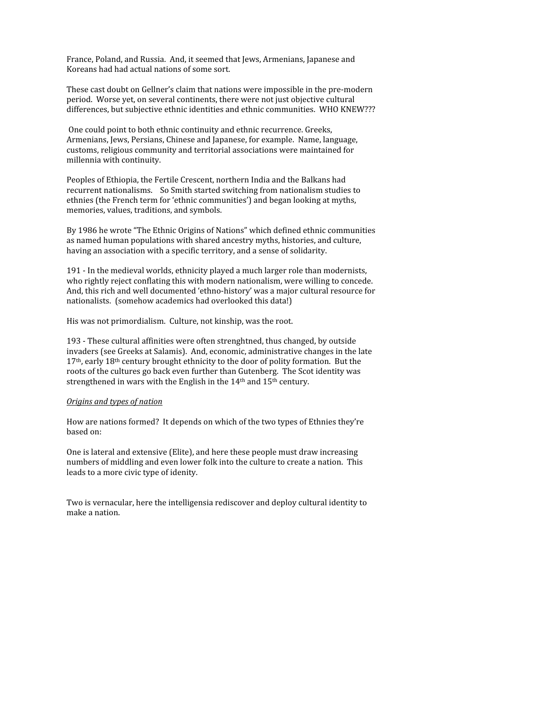France,
Poland,
and
Russia.

And,
it
seemed
that
Jews,
Armenians,
Japanese
and Koreans
had
had
actual
nations
of
some
sort.

These cast doubt on Gellner's claim that nations were impossible in the pre-modern period.

Worse
yet,
on
several
continents,
there
were
not
just
objective
cultural differences, but subjective ethnic identities and ethnic communities. WHO KNEW???

One
could
point
to
both
ethnic
continuity
and
ethnic
recurrence.
Greeks, Armenians,
Jews,
Persians,
Chinese
and
Japanese,
for
example.

Name,
language, customs,
religious
community
and
territorial
associations
were
maintained
for millennia
with
continuity.

Peoples
of
Ethiopia,
the
Fertile
Crescent,
northern
India
and
the
Balkans
had recurrent
nationalisms.

So
Smith
started
switching
from
nationalism
studies
to ethnies
(the
French
term
for
'ethnic
communities')
and
began
looking
at
myths, memories,
values,
traditions,
and
symbols.

By 1986 he wrote "The Ethnic Origins of Nations" which defined ethnic communities as
named
human
populations
with
shared
ancestry
myths,
histories,
and
culture, having
an
association
with
a
specific
territory,
and
a
sense
of
solidarity.

191
‐
In
the
medieval
worlds,
ethnicity
played
a
much
larger
role
than
modernists, who rightly reject conflating this with modern nationalism, were willing to concede. And, this rich and well documented 'ethno-history' was a major cultural resource for nationalists.

(somehow
academics
had
overlooked
this
data!)

His was not primordialism. Culture, not kinship, was the root.

193
‐
These
cultural
affinities
were
often
strenghtned,
thus
changed,
by
outside invaders
(see
Greeks
at
Salamis).

And,
economic,
administrative
changes
in
the
late  $17<sup>th</sup>$ , early  $18<sup>th</sup>$  century brought ethnicity to the door of polity formation. But the roots of the cultures go back even further than Gutenberg. The Scot identity was strengthened in wars with the English in the 14<sup>th</sup> and 15<sup>th</sup> century.

### *Origins
and
types
of
nation*

How are nations formed? It depends on which of the two types of Ethnies they're based
on:

One
is
lateral
and
extensive
(Elite),
and
here
these
people
must
draw
increasing numbers
of
middling
and
even
lower
folk
into
the
culture
to
create
a
nation.

This leads
to
a
more
civic
type
of
idenity.

Two is vernacular, here the intelligensia rediscover and deploy cultural identity to make
a
nation.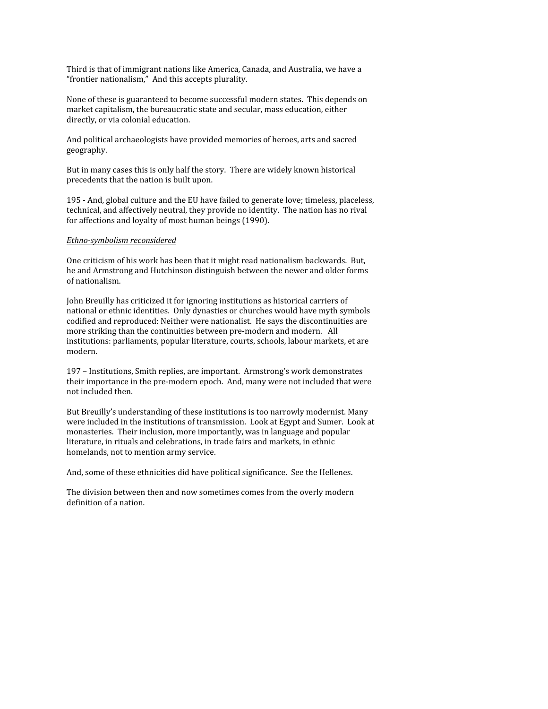Third is that of immigrant nations like America, Canada, and Australia, we have a "frontier nationalism," And this accepts plurality.

None
of
these
is
guaranteed
to
become
successful
modern
states.

This
depends
on market
capitalism,
the
bureaucratic
state
and
secular,
mass
education,
either directly, or via colonial education.

And
political
archaeologists
have
provided
memories
of
heroes,
arts
and
sacred geography.

But in many cases this is only half the story. There are widely known historical precedents
that
the
nation
is
built
upon.

195
‐
And,
global
culture
and
the
EU
have
failed
to
generate
love;
timeless,
placeless, technical,
and
affectively
neutral,
they
provide
no
identity.

The
nation
has
no
rival for
affections
and
loyalty
of
most
human
beings
(1990).

### *Ethnosymbolism
reconsidered*

One
criticism
of
his
work
has
been
that
it
might
read
nationalism
backwards.

But, he
and
Armstrong
and
Hutchinson
distinguish
between
the
newer
and
older
forms of
nationalism.

John Breuilly has criticized it for ignoring institutions as historical carriers of national
or
ethnic
identities.

Only
dynasties
or
churches
would
have
myth
symbols codified
and
reproduced:
Neither
were
nationalist.

He
says
the
discontinuities
are more striking than the continuities between pre-modern and modern. All institutions: parliaments, popular literature, courts, schools, labour markets, et are modern.

197
–
Institutions,
Smith
replies,
are
important.

Armstrong's
work
demonstrates their importance in the pre-modern epoch. And, many were not included that were not
included
then.

But Breuilly's understanding of these institutions is too narrowly modernist. Many were included in the institutions of transmission. Look at Egypt and Sumer. Look at monasteries.

Their
inclusion,
more
importantly,
was
in
language
and
popular literature, in rituals and celebrations, in trade fairs and markets, in ethnic homelands,
not
to
mention
army
service.

And,
some
of
these
ethnicities
did
have
political
significance.

See
the
Hellenes.

The
division
between
then
and
now
sometimes
comes
from
the
overly
modern definition
of
a
nation.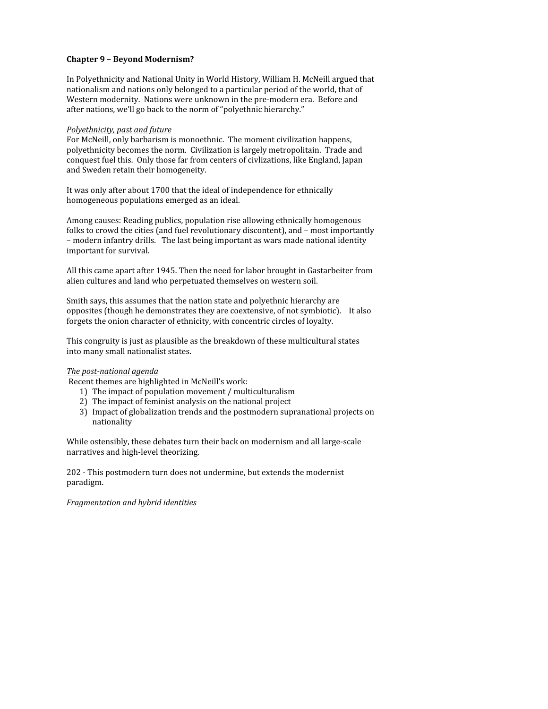# **Chapter
9
–
Beyond
Modernism?**

In
Polyethnicity
and
National
Unity
in
World
History,
William
H.
McNeill
argued
that nationalism
and
nations
only
belonged
to
a
particular
period
of
the
world,
that
of Western modernity. Nations were unknown in the pre-modern era. Before and after
nations,
we'll
go
back
to
the
norm
of
"polyethnic
hierarchy."

## *Polyethnicity,
past
and
future*

For
McNeill,
only
barbarism
is
monoethnic.

The
moment
civilization
happens, polyethnicity
becomes
the
norm.

Civilization
is
largely
metropolitain.

Trade
and conquest
fuel
this.

Only
those
far
from
centers
of
civlizations,
like
England,
Japan and
Sweden
retain
their
homogeneity.

It was only after about 1700 that the ideal of independence for ethnically homogeneous
populations
emerged
as
an
ideal.

Among
causes:
Reading
publics,
population
rise
allowing
ethnically
homogenous folks to crowd the cities (and fuel revolutionary discontent), and - most importantly –
modern
infantry
drills.

The
last
being
important
as
wars
made
national
identity important
for
survival.

All
this
came
apart
after
1945.
Then
the
need
for
labor
brought
in
Gastarbeiter
from alien
cultures
and
land
who
perpetuated
themselves
on
western
soil.

Smith says, this assumes that the nation state and polyethnic hierarchy are opposites
(though
he
demonstrates
they
are
coextensive,
of
not
symbiotic).

It
also forgets the onion character of ethnicity, with concentric circles of loyalty.

This congruity is just as plausible as the breakdown of these multicultural states into
many
small
nationalist
states.

# **The post-national agenda**

Recent
themes
are
highlighted
in
McNeill's
work:

- 1) The
impact
of
population
movement
/
multiculturalism
- 2) The
impact
of
feminist
analysis
on
the
national
project
- 3) Impact
of
globalization
trends
and
the
postmodern
supranational
projects
on nationality

While ostensibly, these debates turn their back on modernism and all large-scale narratives
and
high‐level
theorizing.

202
‐
This
postmodern
turn
does
not
undermine,
but
extends
the
modernist paradigm.

# *Fragmentation
and
hybrid
identities*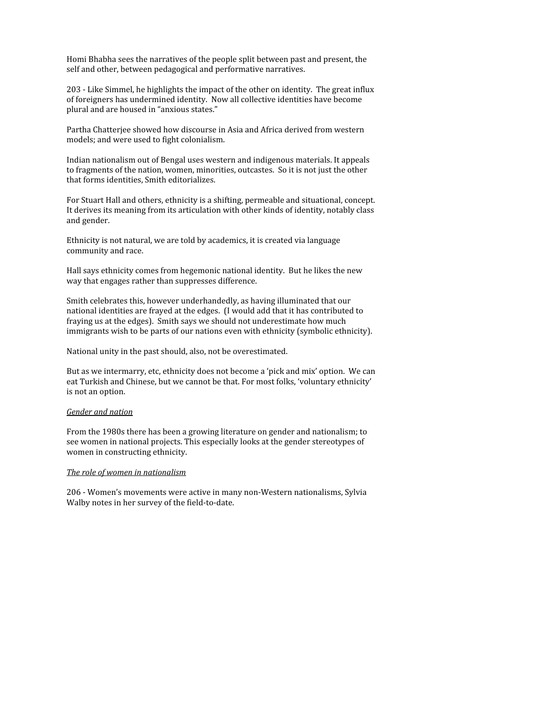Homi
Bhabha
sees
the
narratives
of
the
people
split
between
past
and
present,
the self
and
other,
between
pedagogical
and
performative
narratives.

203 - Like Simmel, he highlights the impact of the other on identity. The great influx of
foreigners
has
undermined
identity.

Now
all
collective
identities
have
become plural
and
are
housed
in
"anxious
states."

Partha Chatteriee showed how discourse in Asia and Africa derived from western models;
and
were
used
to
fight
colonialism.

Indian
nationalism
out
of
Bengal
uses
western
and
indigenous
materials.
It
appeals to fragments of the nation, women, minorities, outcastes. So it is not just the other that
forms
identities,
Smith
editorializes.

For
Stuart
Hall
and
others,
ethnicity
is
a
shifting,
permeable
and
situational,
concept. It derives its meaning from its articulation with other kinds of identity, notably class and
gender.

Ethnicity is not natural, we are told by academics, it is created via language community
and
race.

Hall says ethnicity comes from hegemonic national identity. But he likes the new way
that
engages
rather
than
suppresses
difference.

Smith
celebrates
this,
however
underhandedly,
as
having
illuminated
that
our national identities are frayed at the edges. (I would add that it has contributed to fraying
us
at
the
edges).

Smith
says
we
should
not
underestimate
how
much immigrants wish to be parts of our nations even with ethnicity (symbolic ethnicity).

National
unity
in
the
past
should,
also,
not
be
overestimated.

But as we intermarry, etc, ethnicity does not become a 'pick and mix' option. We can eat
Turkish
and
Chinese,
but
we
cannot
be
that.
For
most
folks,
'voluntary
ethnicity' is
not
an
option.

#### *Gender
and
nation*

From
the
1980s
there
has
been
a
growing
literature
on
gender
and
nationalism;
to see
women
in
national
projects.
This
especially
looks
at
the
gender
stereotypes
of women
in
constructing
ethnicity.

#### *The
role
of
women
in
nationalism*

206
‐
Women's
movements
were
active
in
many
non‐Western
nationalisms,
Sylvia Walby
notes
in
her
survey
of
the
field‐to‐date.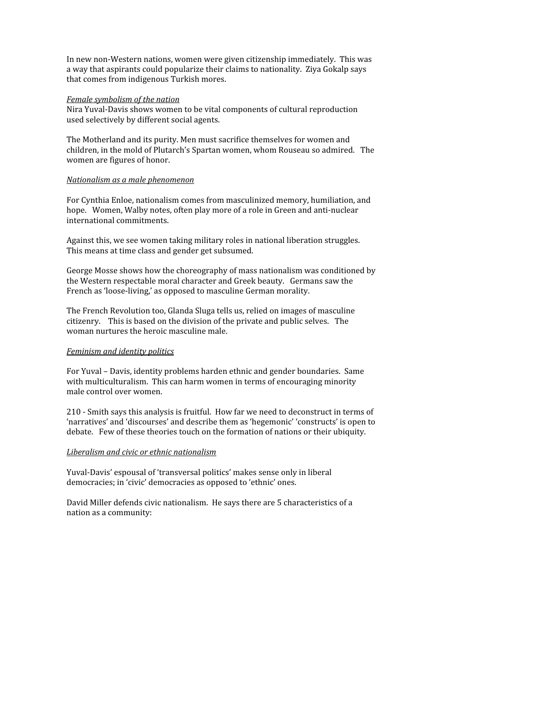In
new
non‐Western
nations,
women
were
given
citizenship
immediately.

This
was a way that aspirants could popularize their claims to nationality. Ziya Gokalp says that
comes
from
indigenous
Turkish
mores.

#### *Female
symbolism
of
the
nation*

Nira Yuval-Davis shows women to be vital components of cultural reproduction used
selectively
by
different
social
agents.

The
Motherland
and
its
purity.
Men
must
sacrifice
themselves
for
women
and children,
in
the
mold
of
Plutarch's
Spartan
women,
whom
Rouseau
so
admired.

The women
are
figures
of
honor.

#### *Nationalism
as
a
male
phenomenon*

For
Cynthia
Enloe,
nationalism
comes
from
masculinized
memory,
humiliation,
and hope. Women, Walby notes, often play more of a role in Green and anti-nuclear international
commitments.

Against
this,
we
see
women
taking
military
roles
in
national
liberation
struggles. This
means
at
time
class
and
gender
get
subsumed.

George
Mosse
shows
how
the
choreography
of
mass
nationalism
was
conditioned
by the
Western
respectable
moral
character
and
Greek
beauty.

Germans
saw
the French as 'loose-living,' as opposed to masculine German morality.

The
French
Revolution
too,
Glanda
Sluga
tells
us,
relied
on
images
of
masculine citizenry.

This
is
based
on
the
division
of
the
private
and
public
selves.

The woman
nurtures
the
heroic
masculine
male.

#### *Feminism
and
identity
politics*

For
Yuval
–
Davis,
identity
problems
harden
ethnic
and
gender
boundaries.

Same with multiculturalism. This can harm women in terms of encouraging minority male
control
over
women.

210
‐
Smith
says
this
analysis
is
fruitful.

How
far
we
need
to
deconstruct
in
terms
of 'narratives' and 'discourses' and describe them as 'hegemonic' 'constructs' is open to debate. Few of these theories touch on the formation of nations or their ubiquity.

### *Liberalism
and
civic
or
ethnic
nationalism*

Yuval-Davis' espousal of 'transversal politics' makes sense only in liberal democracies;
in
'civic'
democracies
as
opposed
to
'ethnic'
ones.

David
Miller
defends
civic
nationalism.

He
says
there
are
5
characteristics
of
a nation
as
a
community: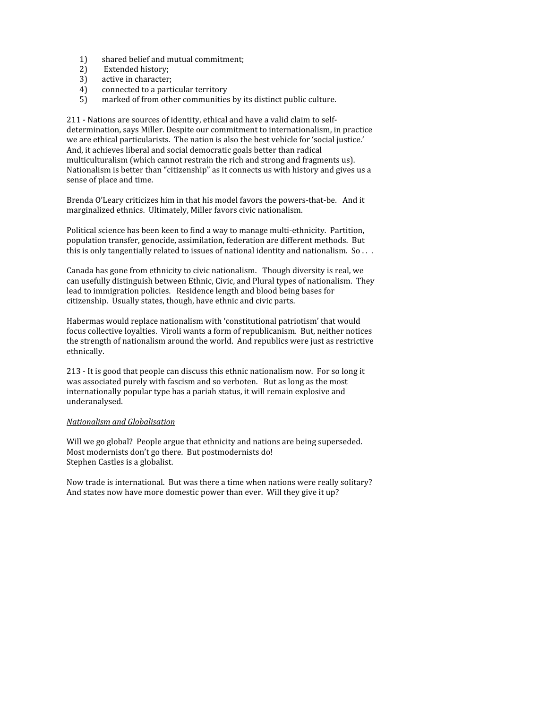- 1) shared
belief
and
mutual
commitment;
- 2) Extended
history;
- 3) active
in
character;
- 4) connected
to
a
particular
territory
- 5) marked
of
from
other
communities
by
its
distinct
public
culture.

211 - Nations are sources of identity, ethical and have a valid claim to selfdetermination,
says
Miller.
Despite
our
commitment
to
internationalism,
in
practice we are ethical particularists. The nation is also the best vehicle for 'social justice.' And,
it
achieves
liberal
and
social
democratic
goals
better
than
radical multiculturalism
(which
cannot
restrain
the
rich
and
strong
and
fragments
us). Nationalism is better than "citizenship" as it connects us with history and gives us a sense of place and time.

Brenda O'Leary criticizes him in that his model favors the powers-that-be. And it marginalized
ethnics.

Ultimately,
Miller
favors
civic
nationalism.

Political science has been keen to find a way to manage multi-ethnicity. Partition, population
transfer,
genocide,
assimilation,
federation
are
different
methods.

But this is only tangentially related to issues of national identity and nationalism. So...

Canada
has
gone
from
ethnicity
to
civic
nationalism.

Though
diversity
is
real,
we can
usefully
distinguish
between
Ethnic,
Civic,
and
Plural
types
of
nationalism.

They lead to immigration policies. Residence length and blood being bases for citizenship.

Usually
states,
though,
have
ethnic
and
civic
parts.

Habermas would replace nationalism with 'constitutional patriotism' that would focus
collective
loyalties.

Viroli
wants
a
form
of
republicanism.

But,
neither
notices the
strength
of
nationalism
around
the
world.

And
republics
were
just
as
restrictive ethnically.

213
‐
It
is
good
that
people
can
discuss
this
ethnic
nationalism
now.

For
so
long
it was
associated
purely
with
fascism
and
so
verboten.

But
as
long
as
the
most internationally
popular
type
has
a
pariah
status,
it
will
remain
explosive
and underanalysed.

### *Nationalism
and
Globalisation*

Will we go global? People argue that ethnicity and nations are being superseded. Most modernists don't go there. But postmodernists do! Stephen
Castles
is
a
globalist.

Now
trade
is
international.

But
was
there
a
time
when
nations
were
really
solitary? And states now have more domestic power than ever. Will they give it up?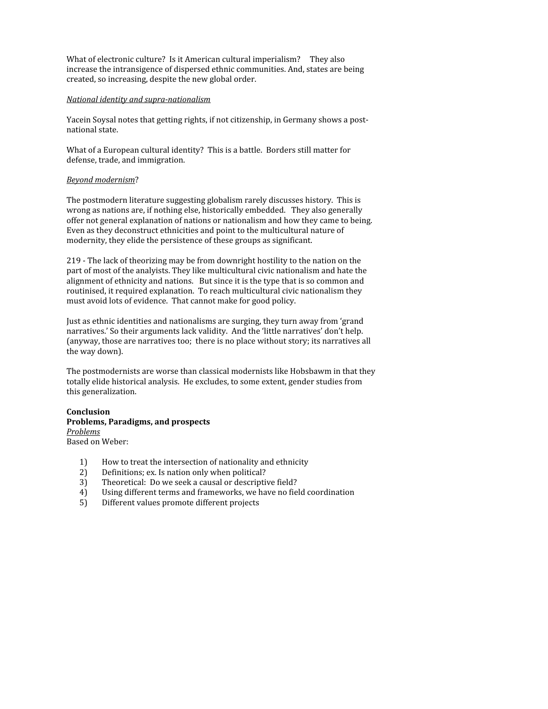What of electronic culture? Is it American cultural imperialism? They also increase
the
intransigence
of
dispersed
ethnic
communities.
And,
states
are
being created,
so
increasing,
despite
the
new
global
order.

### *National identity and supra-nationalism*

Yacein Soysal notes that getting rights, if not citizenship, in Germany shows a postnational
state.

What of a European cultural identity? This is a battle. Borders still matter for defense,
trade,
and
immigration.

### *Beyond
modernism*?

The
postmodern
literature
suggesting
globalism
rarely
discusses
history.

This
is wrong as nations are, if nothing else, historically embedded. They also generally offer
not
general
explanation
of
nations
or
nationalism
and
how
they
came
to
being. Even
as
they
deconstruct
ethnicities
and
point
to
the
multicultural
nature
of modernity,
they
elide
the
persistence
of
these
groups
as
significant.

219
‐
The
lack
of
theorizing
may
be
from
downright
hostility
to
the
nation
on
the part of most of the analyists. They like multicultural civic nationalism and hate the alignment
of
ethnicity
and
nations.

But
since
it
is
the
type
that
is
so
common
and routinised,
it
required
explanation.

To
reach
multicultural
civic
nationalism
they must
avoid
lots
of
evidence.

That
cannot
make
for
good
policy.

Just as ethnic identities and nationalisms are surging, they turn away from 'grand narratives.' So their arguments lack validity. And the 'little narratives' don't help. (anyway, those are narratives too; there is no place without story; its narratives all the
way
down).

The postmodernists are worse than classical modernists like Hobsbawm in that they totally
elide
historical
analysis.

He
excludes,
to
some
extent,
gender
studies
from this
generalization.

#### **Conclusion Problems,
Paradigms,
and
prospects** *Problems* Based
on
Weber:

- 1) How
to
treat
the
intersection
of
nationality
and
ethnicity
- 2) Definitions;
ex.
Is
nation
only
when
political?
- 3) Theoretical:

Do
we
seek
a
causal
or
descriptive
field?
- 4) Using
different
terms
and
frameworks,
we
have
no
field
coordination
- 5) Different
values
promote
different
projects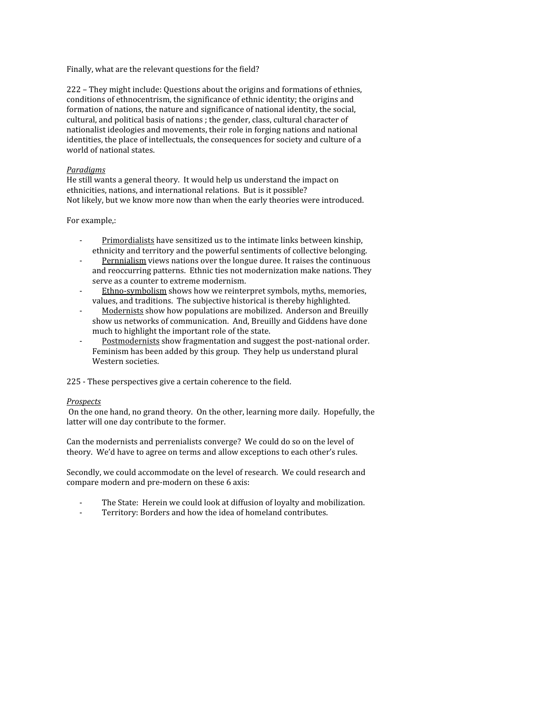Finally, what are the relevant questions for the field?

222
–
They
might
include:
Questions
about
the
origins
and
formations
of
ethnies, conditions
of
ethnocentrism,
the
significance
of
ethnic
identity;
the
origins
and formation of nations, the nature and significance of national identity, the social, cultural,
and
political
basis
of
nations
;
the
gender,
class,
cultural
character
of nationalist
ideologies
and
movements,
their
role
in
forging
nations
and
national identities, the place of intellectuals, the consequences for society and culture of a world
of
national
states.

## *Paradigms*

He
still
wants
a
general
theory.

It
would
help
us
understand
the
impact
on ethnicities,
nations,
and
international
relations.

But
is
it
possible? Not
likely,
but
we
know
more
now
than
when
the
early
theories
were
introduced.

### For
example,:

- Primordialists have sensitized us to the intimate links between kinship, ethnicity and territory and the powerful sentiments of collective belonging.
- Pernnialism views nations over the longue duree. It raises the continuous and
reoccurring
patterns.

Ethnic
ties
not
modernization
make
nations.
They serve
as
a
counter
to
extreme
modernism.
- Ethno-symbolism shows how we reinterpret symbols, myths, memories, values,
and
traditions.

The
subjective
historical
is
thereby
highlighted.
- Modernists show how populations are mobilized. Anderson and Breuilly show
us
networks
of
communication.

And,
Breuilly
and
Giddens
have
done much
to
highlight
the
important
role
of
the
state.
- Postmodernists show fragmentation and suggest the post-national order. Feminism has been added by this group. They help us understand plural Western
societies.

225
‐
These
perspectives
give
a
certain
coherence
to
the
field.

### *Prospects*

On the one hand, no grand theory. On the other, learning more daily. Hopefully, the latter will one day contribute to the former.

Can the modernists and perrenialists converge? We could do so on the level of theory. We'd have to agree on terms and allow exceptions to each other's rules.

Secondly, we could accommodate on the level of research. We could research and compare
modern
and
pre‐modern
on
these
6
axis:

- The State: Herein we could look at diffusion of loyalty and mobilization.
- Territory: Borders and how the idea of homeland contributes.